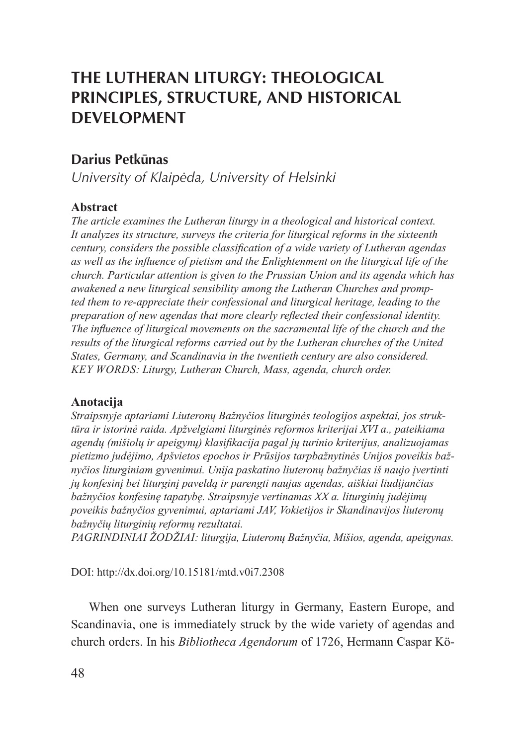# **The Lutheran Liturgy: Theological Principles, Structure, and Historical Development**

# **Darius Petkūnas**

*University of Klaipėda, University of Helsinki*

# **Abstract**

*The article examines the Lutheran liturgy in a theological and historical context. It analyzes its structure, surveys the criteria for liturgical reforms in the sixteenth century, considers the possible classification of a wide variety of Lutheran agendas as well as the influence of pietism and the Enlightenment on the liturgical life of the church. Particular attention is given to the Prussian Union and its agenda which has awakened a new liturgical sensibility among the Lutheran Churches and prompted them to re-appreciate their confessional and liturgical heritage, leading to the preparation of new agendas that more clearly reflected their confessional identity. The influence of liturgical movements on the sacramental life of the church and the results of the liturgical reforms carried out by the Lutheran churches of the United States, Germany, and Scandinavia in the twentieth century are also considered. Key Words: Liturgy, Lutheran Church, Mass, agenda, church order.*

#### **Anotacija**

*Straipsnyje aptariami Liuteronų Bažnyčios liturginės teologijos aspektai, jos struktūra ir istorinė raida. Apžvelgiami liturginės reformos kriterijai XVI a., pateikiama agendų (mišiolų ir apeigynų) klasifikacija pagal jų turinio kriterijus, analizuojamas pietizmo judėjimo, Apšvietos epochos ir Prūsijos tarpbažnytinės Unijos poveikis bažnyčios liturginiam gyvenimui. Unija paskatino liuteronų bažnyčias iš naujo įvertinti jų konfesinį bei liturginį paveldą ir parengti naujas agendas, aiškiai liudijančias bažnyčios konfesinę tapatybę. Straipsnyje vertinamas XX a. liturginių judėjimų poveikis bažnyčios gyvenimui, aptariami JAV, Vokietijos ir Skandinavijos liuteronų bažnyčių liturginių reformų rezultatai.*

*Pagrindiniai žodžiai: liturgija, Liuteronų Bažnyčia, Mišios, agenda, apeigynas.*

DOI: http://dx.doi.org/10.15181/mtd.v0i7.2308

When one surveys Lutheran liturgy in Germany, Eastern Europe, and Scandinavia, one is immediately struck by the wide variety of agendas and church orders. In his *Bibliotheca Agendorum* of 1726, Hermann Caspar Kö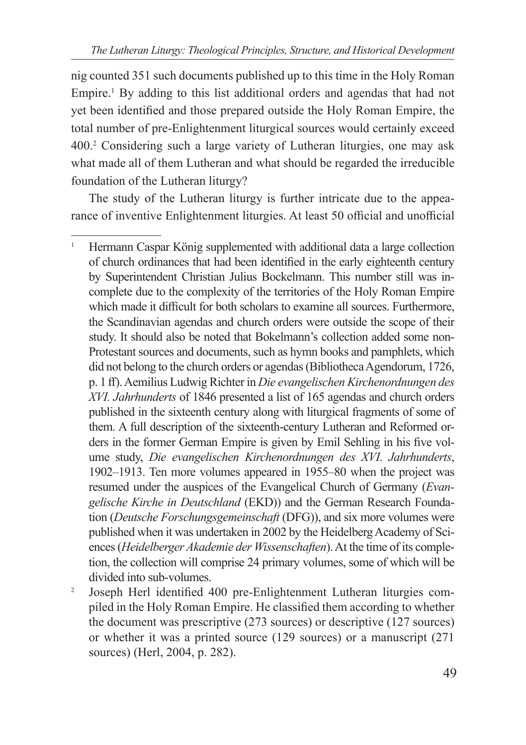nig counted 351 such documents published up to this time in the Holy Roman Empire.<sup>1</sup> By adding to this list additional orders and agendas that had not yet been identified and those prepared outside the Holy Roman Empire, the total number of pre-Enlightenment liturgical sources would certainly exceed 400.2 Considering such a large variety of Lutheran liturgies, one may ask what made all of them Lutheran and what should be regarded the irreducible foundation of the Lutheran liturgy?

The study of the Lutheran liturgy is further intricate due to the appearance of inventive Enlightenment liturgies. At least 50 official and unofficial

<sup>&</sup>lt;sup>1</sup> Hermann Caspar König supplemented with additional data a large collection of church ordinances that had been identified in the early eighteenth century by Superintendent Christian Julius Bockelmann. This number still was incomplete due to the complexity of the territories of the Holy Roman Empire which made it difficult for both scholars to examine all sources. Furthermore, the Scandinavian agendas and church orders were outside the scope of their study. It should also be noted that Bokelmann's collection added some non-Protestant sources and documents, such as hymn books and pamphlets, which did not belong to the church orders or agendas (Bibliotheca Agendorum, 1726, p. 1 ff). Aemilius Ludwig Richter in *Die evangelischen Kirchenordnungen des XVI. Jahrhunderts* of 1846 presented a list of 165 agendas and church orders published in the sixteenth century along with liturgical fragments of some of them. A full description of the sixteenth-century Lutheran and Reformed orders in the former German Empire is given by Emil Sehling in his five volume study, *Die evangelischen Kirchenordnungen des XVI. Jahrhunderts*, 1902–1913. Ten more volumes appeared in 1955–80 when the project was resumed under the auspices of the Evangelical Church of Germany (*Evangelische Kirche in Deutschland* (EKD)) and the German Research Foundation (*Deutsche Forschungsgemeinschaft* (DFG)), and six more volumes were published when it was undertaken in 2002 by the Heidelberg Academy of Sciences (*Heidelberger Akademie der Wissenschaften*). At the time of its completion, the collection will comprise 24 primary volumes, some of which will be divided into sub-volumes.

<sup>&</sup>lt;sup>2</sup> Joseph Herl identified 400 pre-Enlightenment Lutheran liturgies compiled in the Holy Roman Empire. He classified them according to whether the document was prescriptive (273 sources) or descriptive (127 sources) or whether it was a printed source (129 sources) or a manuscript (271 sources) (Herl, 2004, p. 282).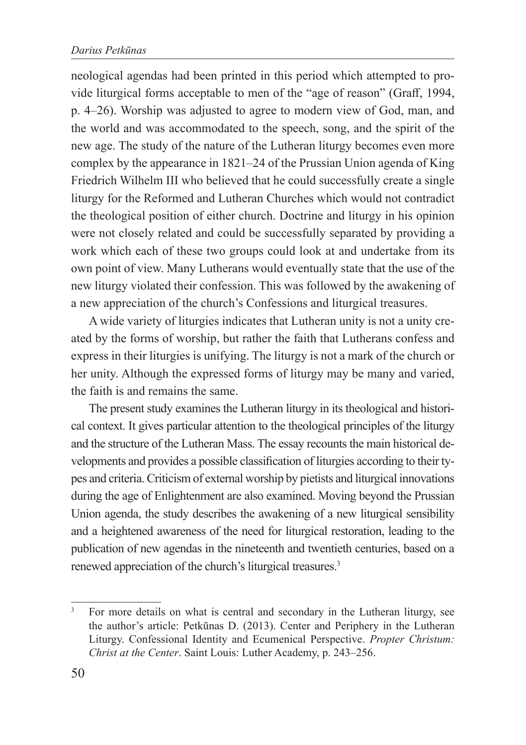neological agendas had been printed in this period which attempted to provide liturgical forms acceptable to men of the "age of reason" (Graff, 1994, p. 4–26). Worship was adjusted to agree to modern view of God, man, and the world and was accommodated to the speech, song, and the spirit of the new age. The study of the nature of the Lutheran liturgy becomes even more complex by the appearance in 1821–24 of the Prussian Union agenda of King Friedrich Wilhelm III who believed that he could successfully create a single liturgy for the Reformed and Lutheran Churches which would not contradict the theological position of either church. Doctrine and liturgy in his opinion were not closely related and could be successfully separated by providing a work which each of these two groups could look at and undertake from its own point of view. Many Lutherans would eventually state that the use of the new liturgy violated their confession. This was followed by the awakening of a new appreciation of the church's Confessions and liturgical treasures.

A wide variety of liturgies indicates that Lutheran unity is not a unity created by the forms of worship, but rather the faith that Lutherans confess and express in their liturgies is unifying. The liturgy is not a mark of the church or her unity. Although the expressed forms of liturgy may be many and varied, the faith is and remains the same.

The present study examines the Lutheran liturgy in its theological and historical context. It gives particular attention to the theological principles of the liturgy and the structure of the Lutheran Mass. The essay recounts the main historical developments and provides a possible classification of liturgies according to their types and criteria. Criticism of external worship by pietists and liturgical innovations during the age of Enlightenment are also examined. Moving beyond the Prussian Union agenda, the study describes the awakening of a new liturgical sensibility and a heightened awareness of the need for liturgical restoration, leading to the publication of new agendas in the nineteenth and twentieth centuries, based on a renewed appreciation of the church's liturgical treasures.3

<sup>&</sup>lt;sup>3</sup> For more details on what is central and secondary in the Lutheran liturgy, see the author's article: Petkūnas D. (2013). Center and Periphery in the Lutheran Liturgy. Confessional Identity and Ecumenical Perspective. *Propter Christum: Christ at the Center*. Saint Louis: Luther Academy, p. 243–256.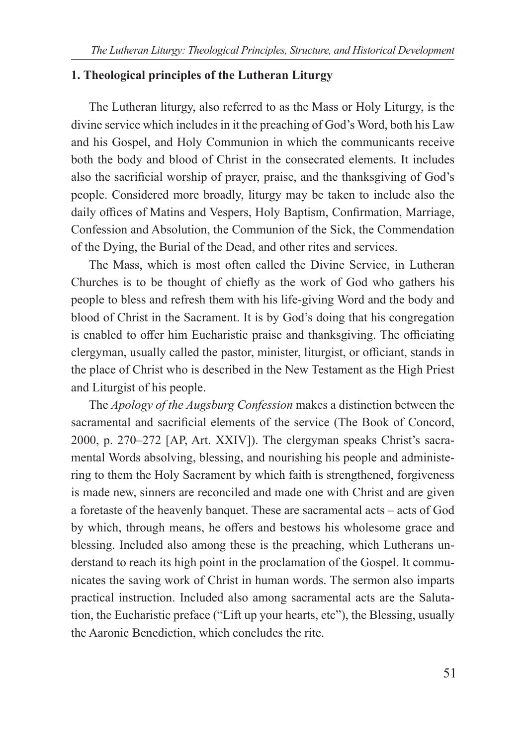#### **1. Theological principles of the Lutheran Liturgy**

The Lutheran liturgy, also referred to as the Mass or Holy Liturgy, is the divine service which includes in it the preaching of God's Word, both his Law and his Gospel, and Holy Communion in which the communicants receive both the body and blood of Christ in the consecrated elements. It includes also the sacrificial worship of prayer, praise, and the thanksgiving of God's people. Considered more broadly, liturgy may be taken to include also the daily offices of Matins and Vespers, Holy Baptism, Confirmation, Marriage, Confession and Absolution, the Communion of the Sick, the Commendation of the Dying, the Burial of the Dead, and other rites and services.

The Mass, which is most often called the Divine Service, in Lutheran Churches is to be thought of chiefly as the work of God who gathers his people to bless and refresh them with his life-giving Word and the body and blood of Christ in the Sacrament. It is by God's doing that his congregation is enabled to offer him Eucharistic praise and thanksgiving. The officiating clergyman, usually called the pastor, minister, liturgist, or officiant, stands in the place of Christ who is described in the New Testament as the High Priest and Liturgist of his people.

The *Apology of the Augsburg Confession* makes a distinction between the sacramental and sacrificial elements of the service (The Book of Concord, 2000, p. 270–272 [AP, Art. XXIV]). The clergyman speaks Christ's sacramental Words absolving, blessing, and nourishing his people and administering to them the Holy Sacrament by which faith is strengthened, forgiveness is made new, sinners are reconciled and made one with Christ and are given a foretaste of the heavenly banquet. These are sacramental acts – acts of God by which, through means, he offers and bestows his wholesome grace and blessing. Included also among these is the preaching, which Lutherans understand to reach its high point in the proclamation of the Gospel. It communicates the saving work of Christ in human words. The sermon also imparts practical instruction. Included also among sacramental acts are the Salutation, the Eucharistic preface ("Lift up your hearts, etc"), the Blessing, usually the Aaronic Benediction, which concludes the rite.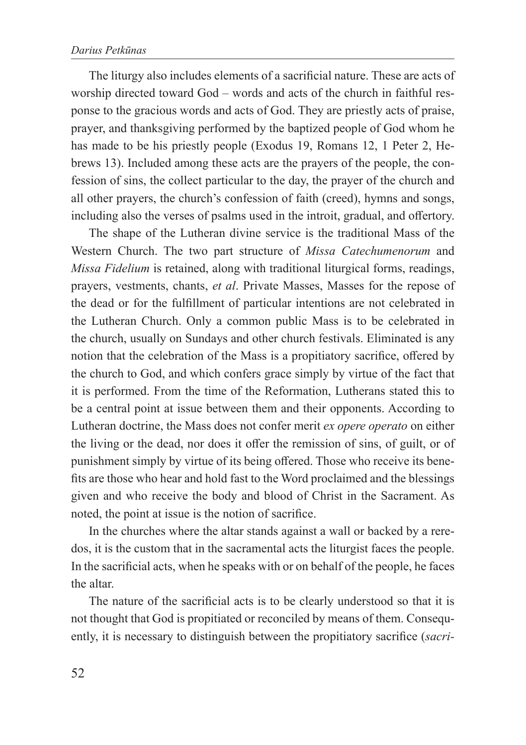The liturgy also includes elements of a sacrificial nature. These are acts of worship directed toward God – words and acts of the church in faithful response to the gracious words and acts of God. They are priestly acts of praise, prayer, and thanksgiving performed by the baptized people of God whom he has made to be his priestly people (Exodus 19, Romans 12, 1 Peter 2, Hebrews 13). Included among these acts are the prayers of the people, the confession of sins, the collect particular to the day, the prayer of the church and all other prayers, the church's confession of faith (creed), hymns and songs, including also the verses of psalms used in the introit, gradual, and offertory.

The shape of the Lutheran divine service is the traditional Mass of the Western Church. The two part structure of *Missa Catechumenorum* and *Missa Fidelium* is retained, along with traditional liturgical forms, readings, prayers, vestments, chants, *et al*. Private Masses, Masses for the repose of the dead or for the fulfillment of particular intentions are not celebrated in the Lutheran Church. Only a common public Mass is to be celebrated in the church, usually on Sundays and other church festivals. Eliminated is any notion that the celebration of the Mass is a propitiatory sacrifice, offered by the church to God, and which confers grace simply by virtue of the fact that it is performed. From the time of the Reformation, Lutherans stated this to be a central point at issue between them and their opponents. According to Lutheran doctrine, the Mass does not confer merit *ex opere operato* on either the living or the dead, nor does it offer the remission of sins, of guilt, or of punishment simply by virtue of its being offered. Those who receive its benefits are those who hear and hold fast to the Word proclaimed and the blessings given and who receive the body and blood of Christ in the Sacrament. As noted, the point at issue is the notion of sacrifice.

In the churches where the altar stands against a wall or backed by a reredos, it is the custom that in the sacramental acts the liturgist faces the people. In the sacrificial acts, when he speaks with or on behalf of the people, he faces the altar.

The nature of the sacrificial acts is to be clearly understood so that it is not thought that God is propitiated or reconciled by means of them. Consequently, it is necessary to distinguish between the propitiatory sacrifice (*sacri-*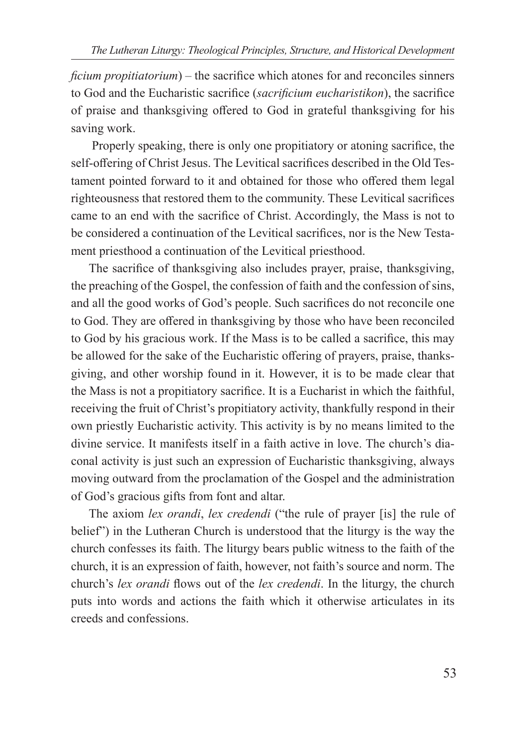*ficium propitiatorium*) – the sacrifice which atones for and reconciles sinners to God and the Eucharistic sacrifice (*sacrificium eucharistikon*), the sacrifice of praise and thanksgiving offered to God in grateful thanksgiving for his saving work.

 Properly speaking, there is only one propitiatory or atoning sacrifice, the self-offering of Christ Jesus. The Levitical sacrifices described in the Old Testament pointed forward to it and obtained for those who offered them legal righteousness that restored them to the community. These Levitical sacrifices came to an end with the sacrifice of Christ. Accordingly, the Mass is not to be considered a continuation of the Levitical sacrifices, nor is the New Testament priesthood a continuation of the Levitical priesthood.

The sacrifice of thanksgiving also includes prayer, praise, thanksgiving, the preaching of the Gospel, the confession of faith and the confession of sins, and all the good works of God's people. Such sacrifices do not reconcile one to God. They are offered in thanksgiving by those who have been reconciled to God by his gracious work. If the Mass is to be called a sacrifice, this may be allowed for the sake of the Eucharistic offering of prayers, praise, thanksgiving, and other worship found in it. However, it is to be made clear that the Mass is not a propitiatory sacrifice. It is a Eucharist in which the faithful, receiving the fruit of Christ's propitiatory activity, thankfully respond in their own priestly Eucharistic activity. This activity is by no means limited to the divine service. It manifests itself in a faith active in love. The church's diaconal activity is just such an expression of Eucharistic thanksgiving, always moving outward from the proclamation of the Gospel and the administration of God's gracious gifts from font and altar.

The axiom *lex orandi*, *lex credendi* ("the rule of prayer [is] the rule of belief") in the Lutheran Church is understood that the liturgy is the way the church confesses its faith. The liturgy bears public witness to the faith of the church, it is an expression of faith, however, not faith's source and norm. The church's *lex orandi* flows out of the *lex credendi*. In the liturgy, the church puts into words and actions the faith which it otherwise articulates in its creeds and confessions.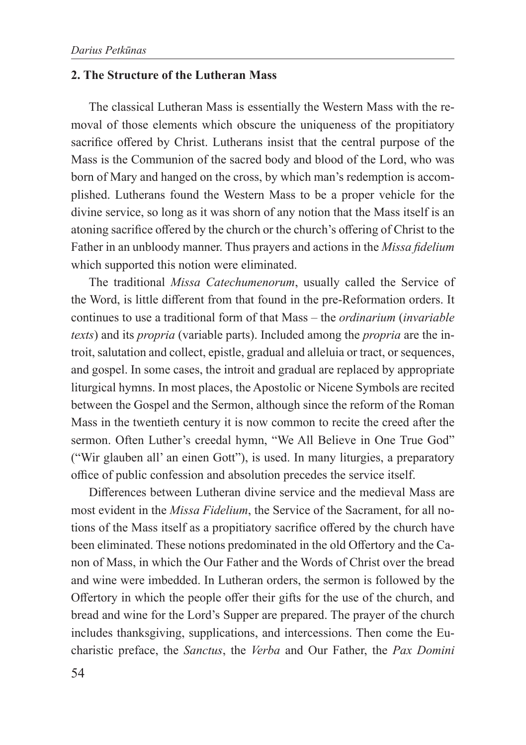# **2. The Structure of the Lutheran Mass**

The classical Lutheran Mass is essentially the Western Mass with the removal of those elements which obscure the uniqueness of the propitiatory sacrifice offered by Christ. Lutherans insist that the central purpose of the Mass is the Communion of the sacred body and blood of the Lord, who was born of Mary and hanged on the cross, by which man's redemption is accomplished. Lutherans found the Western Mass to be a proper vehicle for the divine service, so long as it was shorn of any notion that the Mass itself is an atoning sacrifice offered by the church or the church's offering of Christ to the Father in an unbloody manner. Thus prayers and actions in the *Missa fidelium* which supported this notion were eliminated.

The traditional *Missa Catechumenorum*, usually called the Service of the Word, is little different from that found in the pre-Reformation orders. It continues to use a traditional form of that Mass – the *ordinarium* (*invariable texts*) and its *propria* (variable parts). Included among the *propria* are the introit, salutation and collect, epistle, gradual and alleluia or tract, or sequences, and gospel. In some cases, the introit and gradual are replaced by appropriate liturgical hymns. In most places, the Apostolic or Nicene Symbols are recited between the Gospel and the Sermon, although since the reform of the Roman Mass in the twentieth century it is now common to recite the creed after the sermon. Often Luther's creedal hymn, "We All Believe in One True God" ("Wir glauben all' an einen Gott"), is used. In many liturgies, a preparatory office of public confession and absolution precedes the service itself.

Differences between Lutheran divine service and the medieval Mass are most evident in the *Missa Fidelium*, the Service of the Sacrament, for all notions of the Mass itself as a propitiatory sacrifice offered by the church have been eliminated. These notions predominated in the old Offertory and the Canon of Mass, in which the Our Father and the Words of Christ over the bread and wine were imbedded. In Lutheran orders, the sermon is followed by the Offertory in which the people offer their gifts for the use of the church, and bread and wine for the Lord's Supper are prepared. The prayer of the church includes thanksgiving, supplications, and intercessions. Then come the Eucharistic preface, the *Sanctus*, the *Verba* and Our Father, the *Pax Domini*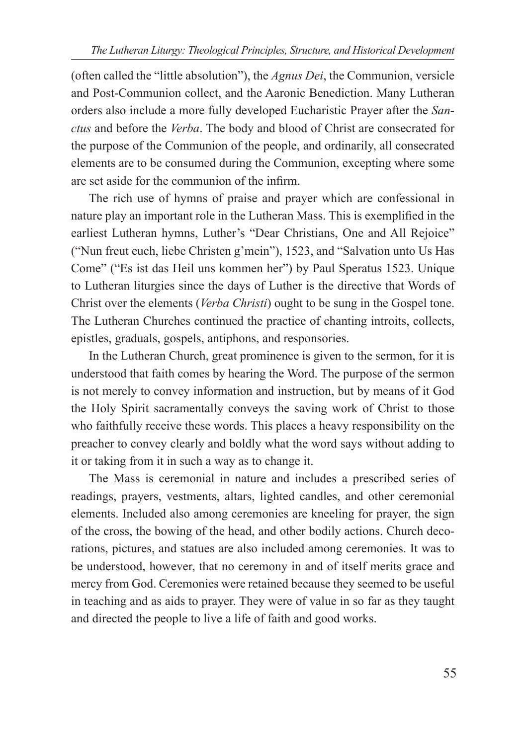(often called the "little absolution"), the *Agnus Dei*, the Communion, versicle and Post-Communion collect, and the Aaronic Benediction. Many Lutheran orders also include a more fully developed Eucharistic Prayer after the *Sanctus* and before the *Verba*. The body and blood of Christ are consecrated for the purpose of the Communion of the people, and ordinarily, all consecrated elements are to be consumed during the Communion, excepting where some are set aside for the communion of the infirm.

The rich use of hymns of praise and prayer which are confessional in nature play an important role in the Lutheran Mass. This is exemplified in the earliest Lutheran hymns, Luther's "Dear Christians, One and All Rejoice" ("Nun freut euch, liebe Christen g'mein"), 1523, and "Salvation unto Us Has Come" ("Es ist das Heil uns kommen her") by Paul Speratus 1523. Unique to Lutheran liturgies since the days of Luther is the directive that Words of Christ over the elements (*Verba Christi*) ought to be sung in the Gospel tone. The Lutheran Churches continued the practice of chanting introits, collects, epistles, graduals, gospels, antiphons, and responsories.

In the Lutheran Church, great prominence is given to the sermon, for it is understood that faith comes by hearing the Word. The purpose of the sermon is not merely to convey information and instruction, but by means of it God the Holy Spirit sacramentally conveys the saving work of Christ to those who faithfully receive these words. This places a heavy responsibility on the preacher to convey clearly and boldly what the word says without adding to it or taking from it in such a way as to change it.

The Mass is ceremonial in nature and includes a prescribed series of readings, prayers, vestments, altars, lighted candles, and other ceremonial elements. Included also among ceremonies are kneeling for prayer, the sign of the cross, the bowing of the head, and other bodily actions. Church decorations, pictures, and statues are also included among ceremonies. It was to be understood, however, that no ceremony in and of itself merits grace and mercy from God. Ceremonies were retained because they seemed to be useful in teaching and as aids to prayer. They were of value in so far as they taught and directed the people to live a life of faith and good works.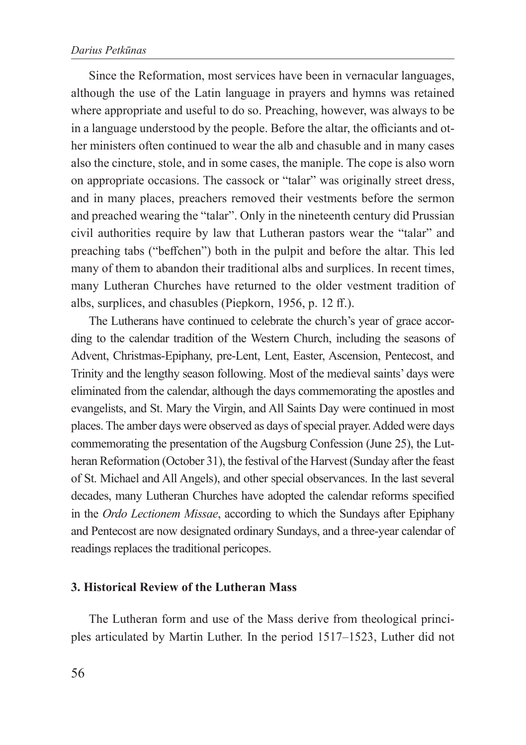Since the Reformation, most services have been in vernacular languages, although the use of the Latin language in prayers and hymns was retained where appropriate and useful to do so. Preaching, however, was always to be in a language understood by the people. Before the altar, the officiants and other ministers often continued to wear the alb and chasuble and in many cases also the cincture, stole, and in some cases, the maniple. The cope is also worn on appropriate occasions. The cassock or "talar" was originally street dress, and in many places, preachers removed their vestments before the sermon and preached wearing the "talar". Only in the nineteenth century did Prussian civil authorities require by law that Lutheran pastors wear the "talar" and preaching tabs ("beffchen") both in the pulpit and before the altar. This led many of them to abandon their traditional albs and surplices. In recent times, many Lutheran Churches have returned to the older vestment tradition of albs, surplices, and chasubles (Piepkorn, 1956, p. 12 ff.).

The Lutherans have continued to celebrate the church's year of grace according to the calendar tradition of the Western Church, including the seasons of Advent, Christmas-Epiphany, pre-Lent, Lent, Easter, Ascension, Pentecost, and Trinity and the lengthy season following. Most of the medieval saints' days were eliminated from the calendar, although the days commemorating the apostles and evangelists, and St. Mary the Virgin, and All Saints Day were continued in most places. The amber days were observed as days of special prayer. Added were days commemorating the presentation of the Augsburg Confession (June 25), the Lutheran Reformation (October 31), the festival of the Harvest (Sunday after the feast of St. Michael and All Angels), and other special observances. In the last several decades, many Lutheran Churches have adopted the calendar reforms specified in the *Ordo Lectionem Missae*, according to which the Sundays after Epiphany and Pentecost are now designated ordinary Sundays, and a three-year calendar of readings replaces the traditional pericopes.

#### **3. Historical Review of the Lutheran Mass**

The Lutheran form and use of the Mass derive from theological principles articulated by Martin Luther. In the period 1517–1523, Luther did not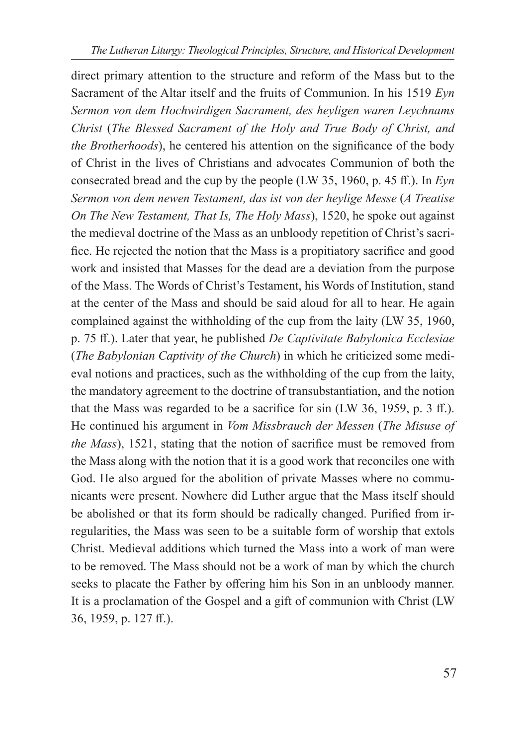direct primary attention to the structure and reform of the Mass but to the Sacrament of the Altar itself and the fruits of Communion. In his 1519 *Eyn Sermon von dem Hochwirdigen Sacrament, des heyligen waren Leychnams Christ* (*The Blessed Sacrament of the Holy and True Body of Christ, and the Brotherhoods*), he centered his attention on the significance of the body of Christ in the lives of Christians and advocates Communion of both the consecrated bread and the cup by the people (LW 35, 1960, p. 45 ff.). In *Eyn Sermon von dem newen Testament, das ist von der heylige Messe* (*A Treatise On The New Testament, That Is, The Holy Mass*), 1520, he spoke out against the medieval doctrine of the Mass as an unbloody repetition of Christ's sacrifice. He rejected the notion that the Mass is a propitiatory sacrifice and good work and insisted that Masses for the dead are a deviation from the purpose of the Mass. The Words of Christ's Testament, his Words of Institution, stand at the center of the Mass and should be said aloud for all to hear. He again complained against the withholding of the cup from the laity (LW 35, 1960, p. 75 ff.). Later that year, he published *De Captivitate Babylonica Ecclesiae* (*The Babylonian Captivity of the Church*) in which he criticized some medieval notions and practices, such as the withholding of the cup from the laity, the mandatory agreement to the doctrine of transubstantiation, and the notion that the Mass was regarded to be a sacrifice for sin (LW 36, 1959, p. 3 ff.). He continued his argument in *Vom Missbrauch der Messen* (*The Misuse of the Mass*), 1521, stating that the notion of sacrifice must be removed from the Mass along with the notion that it is a good work that reconciles one with God. He also argued for the abolition of private Masses where no communicants were present. Nowhere did Luther argue that the Mass itself should be abolished or that its form should be radically changed. Purified from irregularities, the Mass was seen to be a suitable form of worship that extols Christ. Medieval additions which turned the Mass into a work of man were to be removed. The Mass should not be a work of man by which the church seeks to placate the Father by offering him his Son in an unbloody manner. It is a proclamation of the Gospel and a gift of communion with Christ (LW 36, 1959, p. 127 ff.).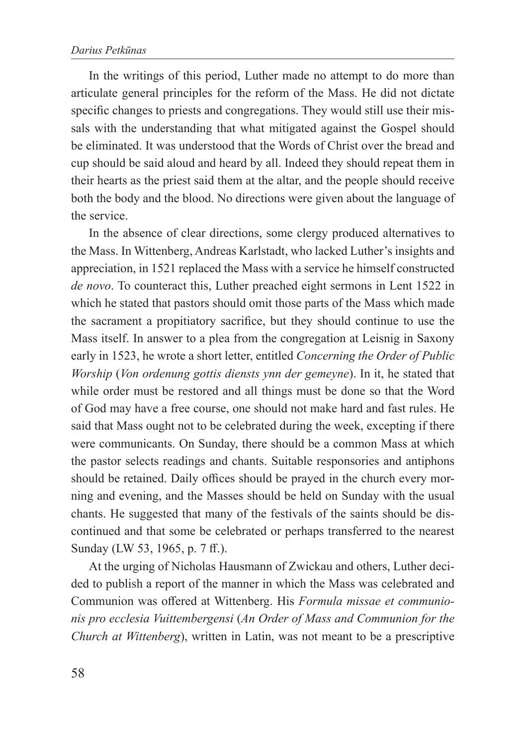In the writings of this period, Luther made no attempt to do more than articulate general principles for the reform of the Mass. He did not dictate specific changes to priests and congregations. They would still use their missals with the understanding that what mitigated against the Gospel should be eliminated. It was understood that the Words of Christ over the bread and cup should be said aloud and heard by all. Indeed they should repeat them in their hearts as the priest said them at the altar, and the people should receive both the body and the blood. No directions were given about the language of the service.

In the absence of clear directions, some clergy produced alternatives to the Mass. In Wittenberg, Andreas Karlstadt, who lacked Luther's insights and appreciation, in 1521 replaced the Mass with a service he himself constructed *de novo*. To counteract this, Luther preached eight sermons in Lent 1522 in which he stated that pastors should omit those parts of the Mass which made the sacrament a propitiatory sacrifice, but they should continue to use the Mass itself. In answer to a plea from the congregation at Leisnig in Saxony early in 1523, he wrote a short letter, entitled *Concerning the Order of Public Worship* (*Von ordenung gottis diensts ynn der gemeyne*). In it, he stated that while order must be restored and all things must be done so that the Word of God may have a free course, one should not make hard and fast rules. He said that Mass ought not to be celebrated during the week, excepting if there were communicants. On Sunday, there should be a common Mass at which the pastor selects readings and chants. Suitable responsories and antiphons should be retained. Daily offices should be prayed in the church every morning and evening, and the Masses should be held on Sunday with the usual chants. He suggested that many of the festivals of the saints should be discontinued and that some be celebrated or perhaps transferred to the nearest Sunday (LW 53, 1965, p. 7 ff.).

At the urging of Nicholas Hausmann of Zwickau and others, Luther decided to publish a report of the manner in which the Mass was celebrated and Communion was offered at Wittenberg. His *Formula missae et communionis pro ecclesia Vuittembergensi* (*An Order of Mass and Communion for the Church at Wittenberg*), written in Latin, was not meant to be a prescriptive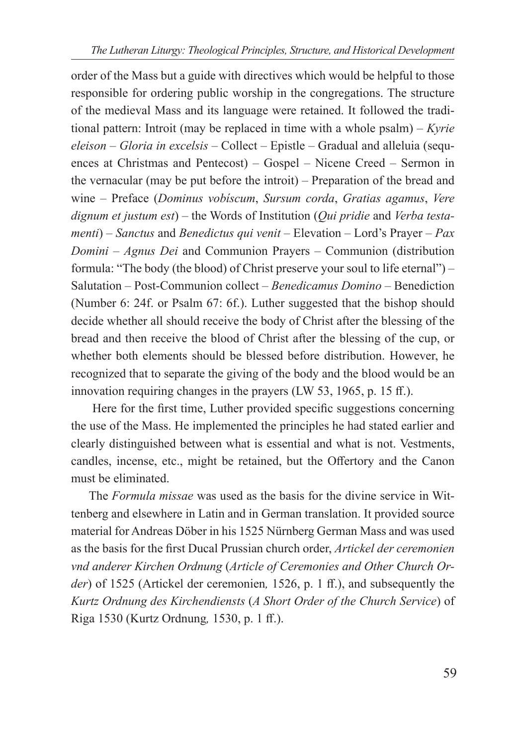order of the Mass but a guide with directives which would be helpful to those responsible for ordering public worship in the congregations. The structure of the medieval Mass and its language were retained. It followed the traditional pattern: Introit (may be replaced in time with a whole psalm) – *Kyrie eleison* – *Gloria in excelsis* – Collect – Epistle – Gradual and alleluia (sequences at Christmas and Pentecost) – Gospel – Nicene Creed – Sermon in the vernacular (may be put before the introit) – Preparation of the bread and wine – Preface (*Dominus vobíscum*, *Sursum corda*, *Gratias agamus*, *Vere dignum et justum est*) – the Words of Institution (*Qui pridie* and *Verba testamenti*) – *Sanctus* and *Benedictus qui venit* – Elevation – Lord's Prayer – *Pax Domini* – *Agnus Dei* and Communion Prayers – Communion (distribution formula: "The body (the blood) of Christ preserve your soul to life eternal") – Salutation – Post-Communion collect – *Benedicamus Domino* – Benediction (Number 6: 24f. or Psalm 67: 6f.). Luther suggested that the bishop should decide whether all should receive the body of Christ after the blessing of the bread and then receive the blood of Christ after the blessing of the cup, or whether both elements should be blessed before distribution. However, he recognized that to separate the giving of the body and the blood would be an innovation requiring changes in the prayers (LW 53, 1965, p. 15 ff.).

 Here for the first time, Luther provided specific suggestions concerning the use of the Mass. He implemented the principles he had stated earlier and clearly distinguished between what is essential and what is not. Vestments, candles, incense, etc., might be retained, but the Offertory and the Canon must be eliminated.

The *Formula missae* was used as the basis for the divine service in Wittenberg and elsewhere in Latin and in German translation. It provided source material for Andreas Döber in his 1525 Nürnberg German Mass and was used as the basis for the first Ducal Prussian church order, *Artickel der ceremonien vnd anderer Kirchen Ordnung* (*Article of Ceremonies and Other Church Order*) of 1525 (Artickel der ceremonien*,* 1526, p. 1 ff.), and subsequently the *Kurtz Ordnung des Kirchendiensts* (*A Short Order of the Church Service*) of Riga 1530 (Kurtz Ordnung*,* 1530, p. 1 ff.).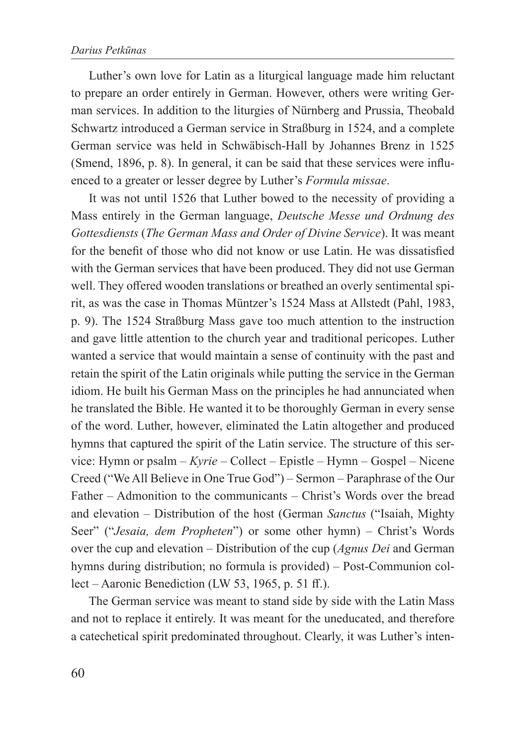Luther's own love for Latin as a liturgical language made him reluctant to prepare an order entirely in German. However, others were writing German services. In addition to the liturgies of Nürnberg and Prussia, Theobald Schwartz introduced a German service in Straßburg in 1524, and a complete German service was held in Schwäbisch-Hall by Johannes Brenz in 1525 (Smend, 1896, p. 8). In general, it can be said that these services were influenced to a greater or lesser degree by Luther's *Formula missae*.

It was not until 1526 that Luther bowed to the necessity of providing a Mass entirely in the German language, *Deutsche Messe und Ordnung des Gottesdiensts* (*The German Mass and Order of Divine Service*). It was meant for the benefit of those who did not know or use Latin. He was dissatisfied with the German services that have been produced. They did not use German well. They offered wooden translations or breathed an overly sentimental spirit, as was the case in Thomas Müntzer's 1524 Mass at Allstedt (Pahl, 1983, p. 9). The 1524 Straßburg Mass gave too much attention to the instruction and gave little attention to the church year and traditional pericopes. Luther wanted a service that would maintain a sense of continuity with the past and retain the spirit of the Latin originals while putting the service in the German idiom. He built his German Mass on the principles he had annunciated when he translated the Bible. He wanted it to be thoroughly German in every sense of the word. Luther, however, eliminated the Latin altogether and produced hymns that captured the spirit of the Latin service. The structure of this service: Hymn or psalm – *Kyrie* – Collect – Epistle – Hymn – Gospel – Nicene Creed ("We All Believe in One True God") – Sermon – Paraphrase of the Our Father – Admonition to the communicants – Christ's Words over the bread and elevation – Distribution of the host (German *Sanctus* ("Isaiah, Mighty Seer" ("*Jesaia, dem Propheten*") or some other hymn) – Christ's Words over the cup and elevation – Distribution of the cup (*Agnus Dei* and German hymns during distribution; no formula is provided) – Post-Communion collect – Aaronic Benediction (LW 53, 1965, p. 51 ff.).

The German service was meant to stand side by side with the Latin Mass and not to replace it entirely. It was meant for the uneducated, and therefore a catechetical spirit predominated throughout. Clearly, it was Luther's inten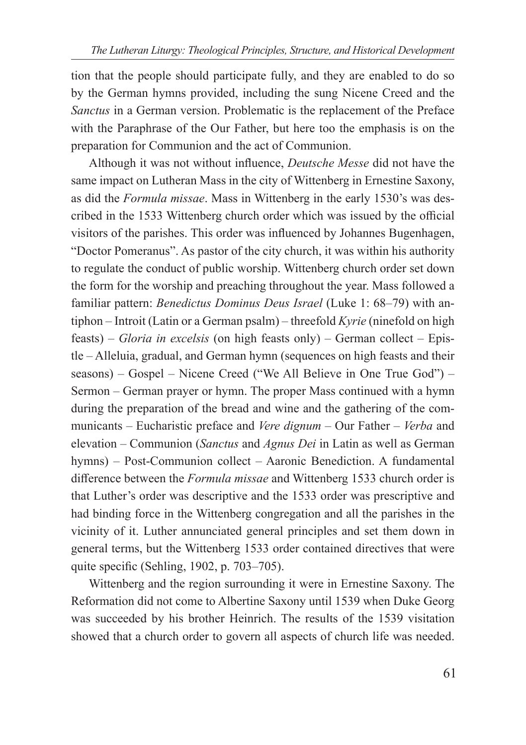tion that the people should participate fully, and they are enabled to do so by the German hymns provided, including the sung Nicene Creed and the *Sanctus* in a German version. Problematic is the replacement of the Preface with the Paraphrase of the Our Father, but here too the emphasis is on the preparation for Communion and the act of Communion.

Although it was not without influence, *Deutsche Messe* did not have the same impact on Lutheran Mass in the city of Wittenberg in Ernestine Saxony, as did the *Formula missae*. Mass in Wittenberg in the early 1530's was described in the 1533 Wittenberg church order which was issued by the official visitors of the parishes. This order was influenced by Johannes Bugenhagen, "Doctor Pomeranus". As pastor of the city church, it was within his authority to regulate the conduct of public worship. Wittenberg church order set down the form for the worship and preaching throughout the year. Mass followed a familiar pattern: *Benedictus Dominus Deus Israel* (Luke 1: 68–79) with antiphon – Introit (Latin or a German psalm) – threefold *Kyrie* (ninefold on high feasts) – *Gloria in excelsis* (on high feasts only) – German collect – Epistle – Alleluia, gradual, and German hymn (sequences on high feasts and their seasons) – Gospel – Nicene Creed ("We All Believe in One True God") – Sermon – German prayer or hymn. The proper Mass continued with a hymn during the preparation of the bread and wine and the gathering of the communicants – Eucharistic preface and *Vere dignum* – Our Father – *Verba* and elevation – Communion (*Sanctus* and *Agnus Dei* in Latin as well as German hymns) – Post-Communion collect – Aaronic Benediction. A fundamental difference between the *Formula missae* and Wittenberg 1533 church order is that Luther's order was descriptive and the 1533 order was prescriptive and had binding force in the Wittenberg congregation and all the parishes in the vicinity of it. Luther annunciated general principles and set them down in general terms, but the Wittenberg 1533 order contained directives that were quite specific (Sehling, 1902, p. 703–705).

Wittenberg and the region surrounding it were in Ernestine Saxony. The Reformation did not come to Albertine Saxony until 1539 when Duke Georg was succeeded by his brother Heinrich. The results of the 1539 visitation showed that a church order to govern all aspects of church life was needed.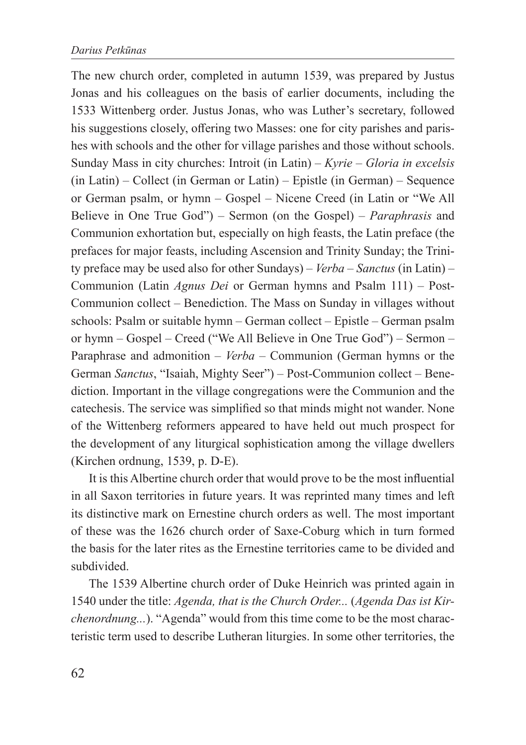The new church order, completed in autumn 1539, was prepared by Justus Jonas and his colleagues on the basis of earlier documents, including the 1533 Wittenberg order. Justus Jonas, who was Luther's secretary, followed his suggestions closely, offering two Masses: one for city parishes and parishes with schools and the other for village parishes and those without schools. Sunday Mass in city churches: Introit (in Latin) – *Kyrie* – *Gloria in excelsis* (in Latin) – Collect (in German or Latin) – Epistle (in German) – Sequence or German psalm, or hymn – Gospel – Nicene Creed (in Latin or "We All Believe in One True God") – Sermon (on the Gospel) – *Paraphrasis* and Communion exhortation but, especially on high feasts, the Latin preface (the prefaces for major feasts, including Ascension and Trinity Sunday; the Trinity preface may be used also for other Sundays) – *Verba* – *Sanctus* (in Latin) – Communion (Latin *Agnus Dei* or German hymns and Psalm 111) – Post-Communion collect – Benediction. The Mass on Sunday in villages without schools: Psalm or suitable hymn – German collect – Epistle – German psalm or hymn – Gospel – Creed ("We All Believe in One True God") – Sermon – Paraphrase and admonition – *Verba* – Communion (German hymns or the German *Sanctus*, "Isaiah, Mighty Seer") – Post-Communion collect – Benediction. Important in the village congregations were the Communion and the catechesis. The service was simplified so that minds might not wander. None of the Wittenberg reformers appeared to have held out much prospect for the development of any liturgical sophistication among the village dwellers (Kirchen ordnung, 1539, p. D-E).

It is this Albertine church order that would prove to be the most influential in all Saxon territories in future years. It was reprinted many times and left its distinctive mark on Ernestine church orders as well. The most important of these was the 1626 church order of Saxe-Coburg which in turn formed the basis for the later rites as the Ernestine territories came to be divided and subdivided.

The 1539 Albertine church order of Duke Heinrich was printed again in 1540 under the title: *Agenda, that is the Church Order...* (*Agenda Das ist Kirchenordnung...*). "Agenda" would from this time come to be the most characteristic term used to describe Lutheran liturgies. In some other territories, the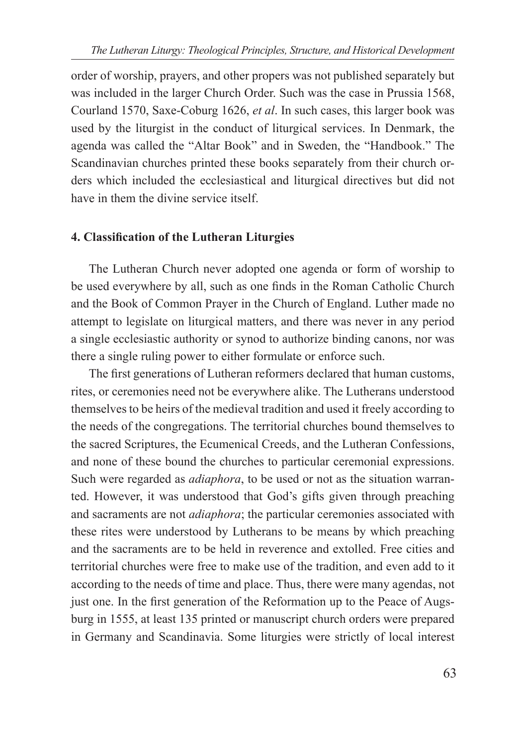order of worship, prayers, and other propers was not published separately but was included in the larger Church Order. Such was the case in Prussia 1568, Courland 1570, Saxe-Coburg 1626, *et al*. In such cases, this larger book was used by the liturgist in the conduct of liturgical services. In Denmark, the agenda was called the "Altar Book" and in Sweden, the "Handbook." The Scandinavian churches printed these books separately from their church orders which included the ecclesiastical and liturgical directives but did not have in them the divine service itself.

#### **4. Classification of the Lutheran Liturgies**

The Lutheran Church never adopted one agenda or form of worship to be used everywhere by all, such as one finds in the Roman Catholic Church and the Book of Common Prayer in the Church of England. Luther made no attempt to legislate on liturgical matters, and there was never in any period a single ecclesiastic authority or synod to authorize binding canons, nor was there a single ruling power to either formulate or enforce such.

The first generations of Lutheran reformers declared that human customs, rites, or ceremonies need not be everywhere alike. The Lutherans understood themselves to be heirs of the medieval tradition and used it freely according to the needs of the congregations. The territorial churches bound themselves to the sacred Scriptures, the Ecumenical Creeds, and the Lutheran Confessions, and none of these bound the churches to particular ceremonial expressions. Such were regarded as *adiaphora*, to be used or not as the situation warranted. However, it was understood that God's gifts given through preaching and sacraments are not *adiaphora*; the particular ceremonies associated with these rites were understood by Lutherans to be means by which preaching and the sacraments are to be held in reverence and extolled. Free cities and territorial churches were free to make use of the tradition, and even add to it according to the needs of time and place. Thus, there were many agendas, not just one. In the first generation of the Reformation up to the Peace of Augsburg in 1555, at least 135 printed or manuscript church orders were prepared in Germany and Scandinavia. Some liturgies were strictly of local interest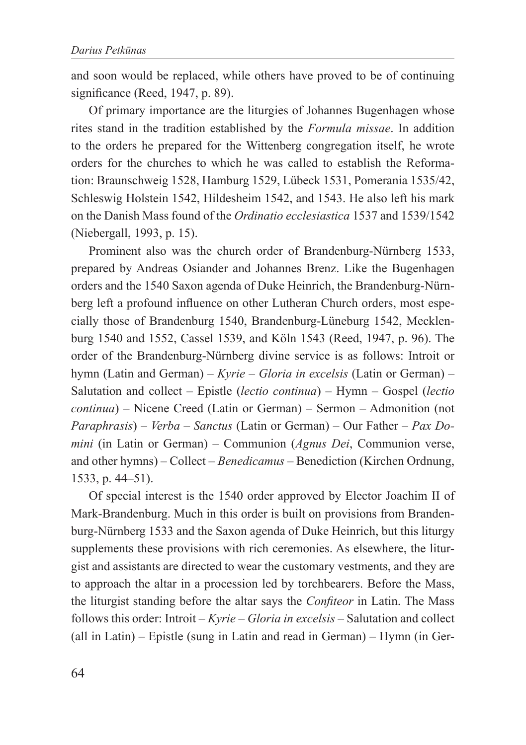and soon would be replaced, while others have proved to be of continuing significance (Reed, 1947, p. 89).

Of primary importance are the liturgies of Johannes Bugenhagen whose rites stand in the tradition established by the *Formula missae*. In addition to the orders he prepared for the Wittenberg congregation itself, he wrote orders for the churches to which he was called to establish the Reformation: Braunschweig 1528, Hamburg 1529, Lübeck 1531, Pomerania 1535/42, Schleswig Holstein 1542, Hildesheim 1542, and 1543. He also left his mark on the Danish Mass found of the *Ordinatio ecclesiastica* 1537 and 1539/1542 (Niebergall, 1993, p. 15).

Prominent also was the church order of Brandenburg-Nürnberg 1533, prepared by Andreas Osiander and Johannes Brenz. Like the Bugenhagen orders and the 1540 Saxon agenda of Duke Heinrich, the Brandenburg-Nürnberg left a profound influence on other Lutheran Church orders, most especially those of Brandenburg 1540, Brandenburg-Lüneburg 1542, Mecklenburg 1540 and 1552, Cassel 1539, and Köln 1543 (Reed, 1947, p. 96). The order of the Brandenburg-Nürnberg divine service is as follows: Introit or hymn (Latin and German) – *Kyrie* – *Gloria in excelsis* (Latin or German) – Salutation and collect – Epistle (*lectio continua*) – Hymn – Gospel (*lectio continua*) – Nicene Creed (Latin or German) – Sermon – Admonition (not *Paraphrasis*) – *Verba* – *Sanctus* (Latin or German) – Our Father – *Pax Domini* (in Latin or German) – Communion (*Agnus Dei*, Communion verse, and other hymns) – Collect – *Benedicamus* – Benediction (Kirchen Ordnung, 1533, p. 44–51).

Of special interest is the 1540 order approved by Elector Joachim II of Mark-Brandenburg. Much in this order is built on provisions from Brandenburg-Nürnberg 1533 and the Saxon agenda of Duke Heinrich, but this liturgy supplements these provisions with rich ceremonies. As elsewhere, the liturgist and assistants are directed to wear the customary vestments, and they are to approach the altar in a procession led by torchbearers. Before the Mass, the liturgist standing before the altar says the *Confiteor* in Latin. The Mass follows this order: Introit – *Kyrie* – *Gloria in excelsis* – Salutation and collect (all in Latin) – Epistle (sung in Latin and read in German) – Hymn (in Ger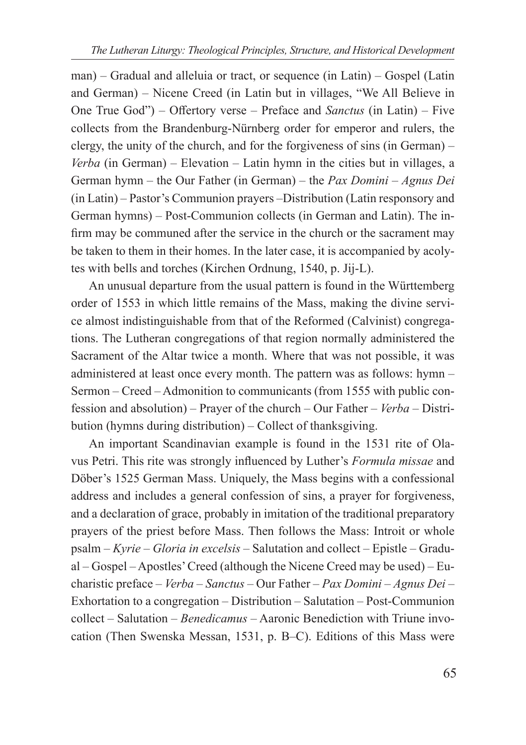man) – Gradual and alleluia or tract, or sequence (in Latin) – Gospel (Latin and German) – Nicene Creed (in Latin but in villages, "We All Believe in One True God") – Offertory verse – Preface and *Sanctus* (in Latin) – Five collects from the Brandenburg-Nürnberg order for emperor and rulers, the clergy, the unity of the church, and for the forgiveness of sins (in German) – *Verba* (in German) – Elevation – Latin hymn in the cities but in villages, a German hymn – the Our Father (in German) – the *Pax Domini* – *Agnus Dei* (in Latin) – Pastor's Communion prayers –Distribution (Latin responsory and German hymns) – Post-Communion collects (in German and Latin). The infirm may be communed after the service in the church or the sacrament may be taken to them in their homes. In the later case, it is accompanied by acolytes with bells and torches (Kirchen Ordnung, 1540, p. Jij-L).

An unusual departure from the usual pattern is found in the Württemberg order of 1553 in which little remains of the Mass, making the divine service almost indistinguishable from that of the Reformed (Calvinist) congregations. The Lutheran congregations of that region normally administered the Sacrament of the Altar twice a month. Where that was not possible, it was administered at least once every month. The pattern was as follows: hymn – Sermon – Creed – Admonition to communicants (from 1555 with public confession and absolution) – Prayer of the church – Our Father – *Verba* – Distribution (hymns during distribution) – Collect of thanksgiving.

An important Scandinavian example is found in the 1531 rite of Olavus Petri. This rite was strongly influenced by Luther's *Formula missae* and Döber's 1525 German Mass. Uniquely, the Mass begins with a confessional address and includes a general confession of sins, a prayer for forgiveness, and a declaration of grace, probably in imitation of the traditional preparatory prayers of the priest before Mass. Then follows the Mass: Introit or whole psalm – *Kyrie* – *Gloria in excelsis* – Salutation and collect – Epistle – Gradual – Gospel – Apostles' Creed (although the Nicene Creed may be used) – Eucharistic preface – *Verba* – *Sanctus* – Our Father – *Pax Domini* – *Agnus Dei* – Exhortation to a congregation – Distribution – Salutation – Post-Communion collect – Salutation – *Benedicamus* – Aaronic Benediction with Triune invocation (Then Swenska Messan, 1531, p. B–C). Editions of this Mass were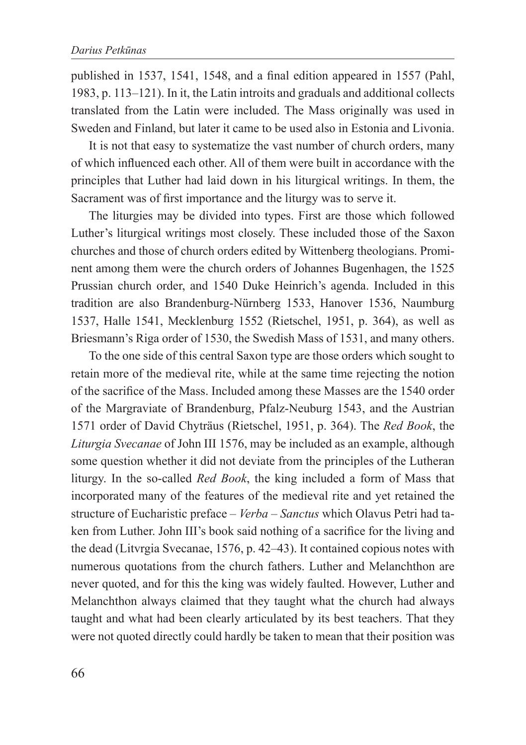published in 1537, 1541, 1548, and a final edition appeared in 1557 (Pahl, 1983, p. 113–121). In it, the Latin introits and graduals and additional collects translated from the Latin were included. The Mass originally was used in Sweden and Finland, but later it came to be used also in Estonia and Livonia.

It is not that easy to systematize the vast number of church orders, many of which influenced each other. All of them were built in accordance with the principles that Luther had laid down in his liturgical writings. In them, the Sacrament was of first importance and the liturgy was to serve it.

The liturgies may be divided into types. First are those which followed Luther's liturgical writings most closely. These included those of the Saxon churches and those of church orders edited by Wittenberg theologians. Prominent among them were the church orders of Johannes Bugenhagen, the 1525 Prussian church order, and 1540 Duke Heinrich's agenda. Included in this tradition are also Brandenburg-Nürnberg 1533, Hanover 1536, Naumburg 1537, Halle 1541, Mecklenburg 1552 (Rietschel, 1951, p. 364), as well as Briesmann's Riga order of 1530, the Swedish Mass of 1531, and many others.

To the one side of this central Saxon type are those orders which sought to retain more of the medieval rite, while at the same time rejecting the notion of the sacrifice of the Mass. Included among these Masses are the 1540 order of the Margraviate of Brandenburg, Pfalz-Neuburg 1543, and the Austrian 1571 order of David Chyträus (Rietschel, 1951, p. 364). The *Red Book*, the *Liturgia Svecanae* of John III 1576, may be included as an example, although some question whether it did not deviate from the principles of the Lutheran liturgy. In the so-called *Red Book*, the king included a form of Mass that incorporated many of the features of the medieval rite and yet retained the structure of Eucharistic preface – *Verba* – *Sanctus* which Olavus Petri had taken from Luther. John III's book said nothing of a sacrifice for the living and the dead (Litvrgia Svecanae, 1576, p. 42–43). It contained copious notes with numerous quotations from the church fathers. Luther and Melanchthon are never quoted, and for this the king was widely faulted. However, Luther and Melanchthon always claimed that they taught what the church had always taught and what had been clearly articulated by its best teachers. That they were not quoted directly could hardly be taken to mean that their position was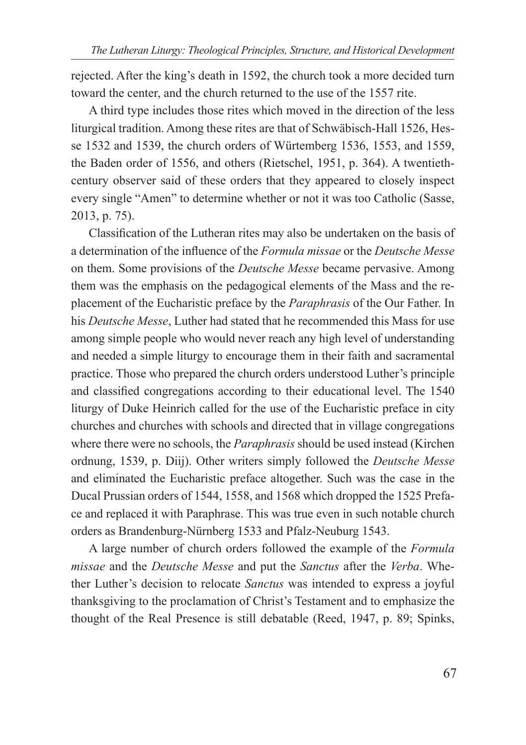rejected. After the king's death in 1592, the church took a more decided turn toward the center, and the church returned to the use of the 1557 rite.

A third type includes those rites which moved in the direction of the less liturgical tradition. Among these rites are that of Schwäbisch-Hall 1526, Hesse 1532 and 1539, the church orders of Würtemberg 1536, 1553, and 1559, the Baden order of 1556, and others (Rietschel, 1951, p. 364). A twentiethcentury observer said of these orders that they appeared to closely inspect every single "Amen" to determine whether or not it was too Catholic (Sasse, 2013, p. 75).

Classification of the Lutheran rites may also be undertaken on the basis of a determination of the influence of the *Formula missae* or the *Deutsche Messe* on them. Some provisions of the *Deutsche Messe* became pervasive. Among them was the emphasis on the pedagogical elements of the Mass and the replacement of the Eucharistic preface by the *Paraphrasis* of the Our Father. In his *Deutsche Messe*, Luther had stated that he recommended this Mass for use among simple people who would never reach any high level of understanding and needed a simple liturgy to encourage them in their faith and sacramental practice. Those who prepared the church orders understood Luther's principle and classified congregations according to their educational level. The 1540 liturgy of Duke Heinrich called for the use of the Eucharistic preface in city churches and churches with schools and directed that in village congregations where there were no schools, the *Paraphrasis* should be used instead (Kirchen ordnung, 1539, p. Diij). Other writers simply followed the *Deutsche Messe* and eliminated the Eucharistic preface altogether. Such was the case in the Ducal Prussian orders of 1544, 1558, and 1568 which dropped the 1525 Preface and replaced it with Paraphrase. This was true even in such notable church orders as Brandenburg-Nürnberg 1533 and Pfalz-Neuburg 1543.

A large number of church orders followed the example of the *Formula missae* and the *Deutsche Messe* and put the *Sanctus* after the *Verba*. Whether Luther's decision to relocate *Sanctus* was intended to express a joyful thanksgiving to the proclamation of Christ's Testament and to emphasize the thought of the Real Presence is still debatable (Reed, 1947, p. 89; Spinks,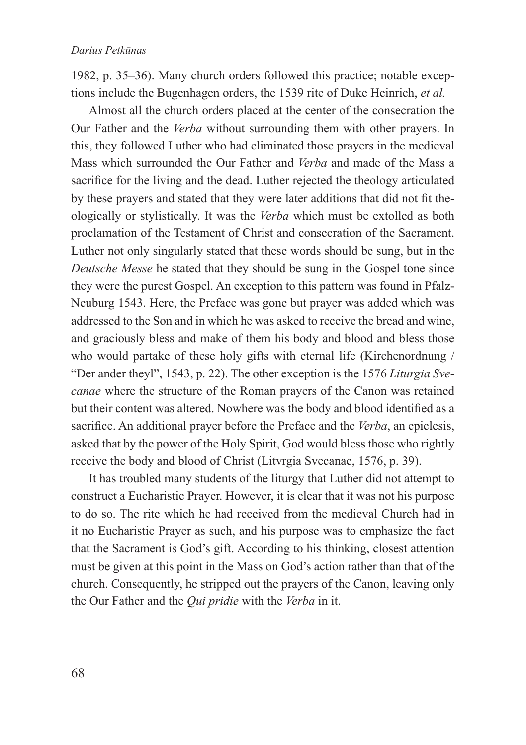1982, p. 35–36). Many church orders followed this practice; notable exceptions include the Bugenhagen orders, the 1539 rite of Duke Heinrich, *et al.* 

Almost all the church orders placed at the center of the consecration the Our Father and the *Verba* without surrounding them with other prayers. In this, they followed Luther who had eliminated those prayers in the medieval Mass which surrounded the Our Father and *Verba* and made of the Mass a sacrifice for the living and the dead. Luther rejected the theology articulated by these prayers and stated that they were later additions that did not fit theologically or stylistically. It was the *Verba* which must be extolled as both proclamation of the Testament of Christ and consecration of the Sacrament. Luther not only singularly stated that these words should be sung, but in the *Deutsche Messe* he stated that they should be sung in the Gospel tone since they were the purest Gospel. An exception to this pattern was found in Pfalz-Neuburg 1543. Here, the Preface was gone but prayer was added which was addressed to the Son and in which he was asked to receive the bread and wine, and graciously bless and make of them his body and blood and bless those who would partake of these holy gifts with eternal life (Kirchenordnung / "Der ander theyl", 1543, p. 22). The other exception is the 1576 *Liturgia Svecanae* where the structure of the Roman prayers of the Canon was retained but their content was altered. Nowhere was the body and blood identified as a sacrifice. An additional prayer before the Preface and the *Verba*, an epiclesis, asked that by the power of the Holy Spirit, God would bless those who rightly receive the body and blood of Christ (Litvrgia Svecanae, 1576, p. 39).

It has troubled many students of the liturgy that Luther did not attempt to construct a Eucharistic Prayer. However, it is clear that it was not his purpose to do so. The rite which he had received from the medieval Church had in it no Eucharistic Prayer as such, and his purpose was to emphasize the fact that the Sacrament is God's gift. According to his thinking, closest attention must be given at this point in the Mass on God's action rather than that of the church. Consequently, he stripped out the prayers of the Canon, leaving only the Our Father and the *Qui pridie* with the *Verba* in it.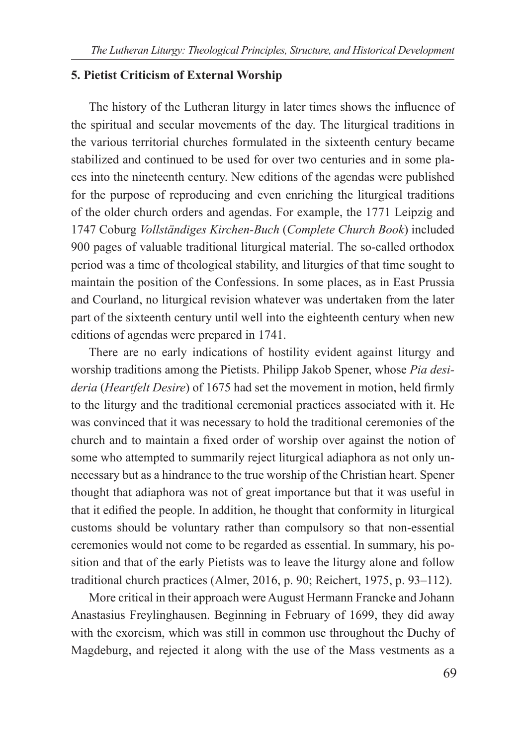#### **5. Pietist Criticism of External Worship**

The history of the Lutheran liturgy in later times shows the influence of the spiritual and secular movements of the day. The liturgical traditions in the various territorial churches formulated in the sixteenth century became stabilized and continued to be used for over two centuries and in some places into the nineteenth century. New editions of the agendas were published for the purpose of reproducing and even enriching the liturgical traditions of the older church orders and agendas. For example, the 1771 Leipzig and 1747 Coburg *Vollständiges Kirchen-Buch* (*Complete Church Book*) included 900 pages of valuable traditional liturgical material. The so-called orthodox period was a time of theological stability, and liturgies of that time sought to maintain the position of the Confessions. In some places, as in East Prussia and Courland, no liturgical revision whatever was undertaken from the later part of the sixteenth century until well into the eighteenth century when new editions of agendas were prepared in 1741.

There are no early indications of hostility evident against liturgy and worship traditions among the Pietists. Philipp Jakob Spener, whose *Pia desideria* (*Heartfelt Desire*) of 1675 had set the movement in motion, held firmly to the liturgy and the traditional ceremonial practices associated with it. He was convinced that it was necessary to hold the traditional ceremonies of the church and to maintain a fixed order of worship over against the notion of some who attempted to summarily reject liturgical adiaphora as not only unnecessary but as a hindrance to the true worship of the Christian heart. Spener thought that adiaphora was not of great importance but that it was useful in that it edified the people. In addition, he thought that conformity in liturgical customs should be voluntary rather than compulsory so that non-essential ceremonies would not come to be regarded as essential. In summary, his position and that of the early Pietists was to leave the liturgy alone and follow traditional church practices (Almer, 2016, p. 90; Reichert, 1975, p. 93–112).

More critical in their approach were August Hermann Francke and Johann Anastasius Freylinghausen. Beginning in February of 1699, they did away with the exorcism, which was still in common use throughout the Duchy of Magdeburg, and rejected it along with the use of the Mass vestments as a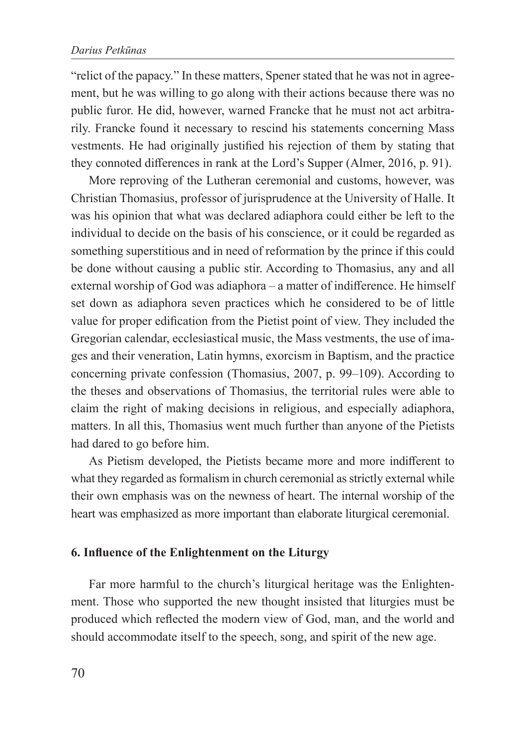"relict of the papacy." In these matters, Spener stated that he was not in agreement, but he was willing to go along with their actions because there was no public furor. He did, however, warned Francke that he must not act arbitrarily. Francke found it necessary to rescind his statements concerning Mass vestments. He had originally justified his rejection of them by stating that they connoted differences in rank at the Lord's Supper (Almer, 2016, p. 91).

More reproving of the Lutheran ceremonial and customs, however, was Christian Thomasius, professor of jurisprudence at the University of Halle. It was his opinion that what was declared adiaphora could either be left to the individual to decide on the basis of his conscience, or it could be regarded as something superstitious and in need of reformation by the prince if this could be done without causing a public stir. According to Thomasius, any and all external worship of God was adiaphora – a matter of indifference. He himself set down as adiaphora seven practices which he considered to be of little value for proper edification from the Pietist point of view. They included the Gregorian calendar, ecclesiastical music, the Mass vestments, the use of images and their veneration, Latin hymns, exorcism in Baptism, and the practice concerning private confession (Thomasius, 2007, p. 99–109). According to the theses and observations of Thomasius, the territorial rules were able to claim the right of making decisions in religious, and especially adiaphora, matters. In all this, Thomasius went much further than anyone of the Pietists had dared to go before him.

As Pietism developed, the Pietists became more and more indifferent to what they regarded as formalism in church ceremonial as strictly external while their own emphasis was on the newness of heart. The internal worship of the heart was emphasized as more important than elaborate liturgical ceremonial.

## **6. Influence of the Enlightenment on the Liturgy**

Far more harmful to the church's liturgical heritage was the Enlightenment. Those who supported the new thought insisted that liturgies must be produced which reflected the modern view of God, man, and the world and should accommodate itself to the speech, song, and spirit of the new age.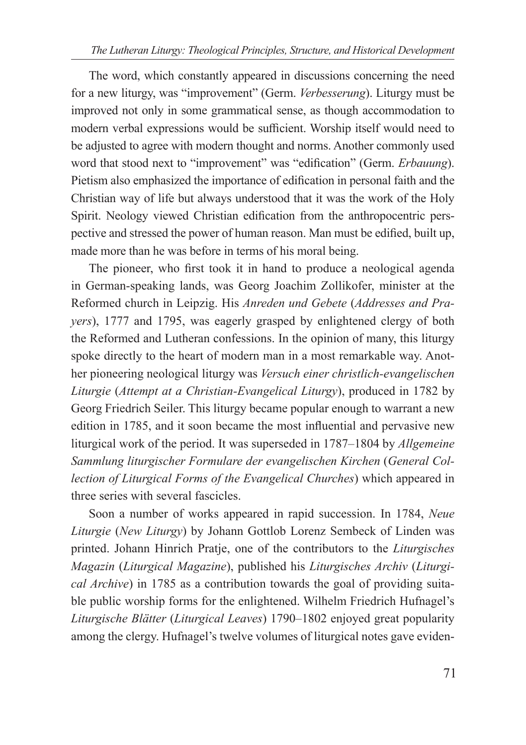The word, which constantly appeared in discussions concerning the need for a new liturgy, was "improvement" (Germ. *Verbesserung*). Liturgy must be improved not only in some grammatical sense, as though accommodation to modern verbal expressions would be sufficient. Worship itself would need to be adjusted to agree with modern thought and norms. Another commonly used word that stood next to "improvement" was "edification" (Germ. *Erbauung*). Pietism also emphasized the importance of edification in personal faith and the Christian way of life but always understood that it was the work of the Holy Spirit. Neology viewed Christian edification from the anthropocentric perspective and stressed the power of human reason. Man must be edified, built up, made more than he was before in terms of his moral being.

The pioneer, who first took it in hand to produce a neological agenda in German-speaking lands, was Georg Joachim Zollikofer, minister at the Reformed church in Leipzig. His *Anreden und Gebete* (*Addresses and Prayers*), 1777 and 1795, was eagerly grasped by enlightened clergy of both the Reformed and Lutheran confessions. In the opinion of many, this liturgy spoke directly to the heart of modern man in a most remarkable way. Another pioneering neological liturgy was *Versuch einer christlich-evangelischen Liturgie* (*Attempt at a Christian-Evangelical Liturgy*), produced in 1782 by Georg Friedrich Seiler. This liturgy became popular enough to warrant a new edition in 1785, and it soon became the most influential and pervasive new liturgical work of the period. It was superseded in 1787–1804 by *Allgemeine Sammlung liturgischer Formulare der evangelischen Kirchen* (*General Collection of Liturgical Forms of the Evangelical Churches*) which appeared in three series with several fascicles.

Soon a number of works appeared in rapid succession. In 1784, *Neue Liturgie* (*New Liturgy*) by Johann Gottlob Lorenz Sembeck of Linden was printed. Johann Hinrich Pratje, one of the contributors to the *Liturgisches Magazin* (*Liturgical Magazine*), published his *Liturgisches Archiv* (*Liturgical Archive*) in 1785 as a contribution towards the goal of providing suitable public worship forms for the enlightened. Wilhelm Friedrich Hufnagel's *Liturgische Blätter* (*Liturgical Leaves*) 1790–1802 enjoyed great popularity among the clergy. Hufnagel's twelve volumes of liturgical notes gave eviden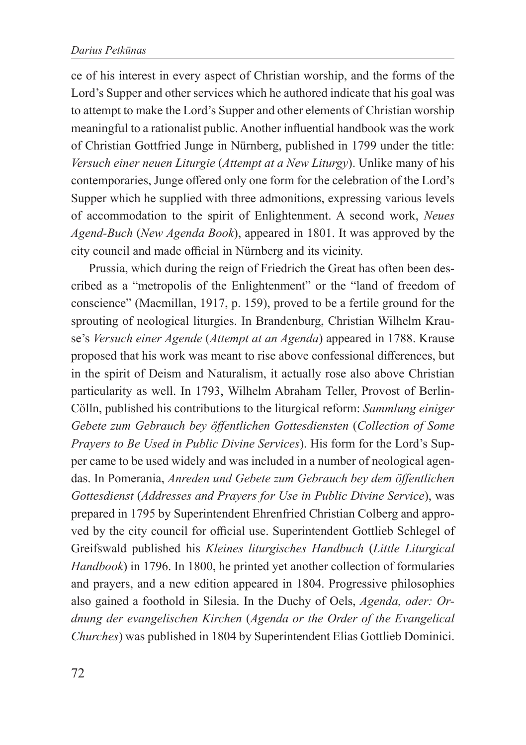ce of his interest in every aspect of Christian worship, and the forms of the Lord's Supper and other services which he authored indicate that his goal was to attempt to make the Lord's Supper and other elements of Christian worship meaningful to a rationalist public. Another influential handbook was the work of Christian Gottfried Junge in Nürnberg, published in 1799 under the title: *Versuch einer neuen Liturgie* (*Attempt at a New Liturgy*). Unlike many of his contemporaries, Junge offered only one form for the celebration of the Lord's Supper which he supplied with three admonitions, expressing various levels of accommodation to the spirit of Enlightenment. A second work, *Neues Agend-Buch* (*New Agenda Book*), appeared in 1801. It was approved by the city council and made official in Nürnberg and its vicinity.

Prussia, which during the reign of Friedrich the Great has often been described as a "metropolis of the Enlightenment" or the "land of freedom of conscience" (Macmillan, 1917, p. 159), proved to be a fertile ground for the sprouting of neological liturgies. In Brandenburg, Christian Wilhelm Krause's *Versuch einer Agende* (*Attempt at an Agenda*) appeared in 1788. Krause proposed that his work was meant to rise above confessional differences, but in the spirit of Deism and Naturalism, it actually rose also above Christian particularity as well. In 1793, Wilhelm Abraham Teller, Provost of Berlin-Cölln, published his contributions to the liturgical reform: *Sammlung einiger Gebete zum Gebrauch bey öffentlichen Gottesdiensten* (*Collection of Some Prayers to Be Used in Public Divine Services*). His form for the Lord's Supper came to be used widely and was included in a number of neological agendas. In Pomerania, *Anreden und Gebete zum Gebrauch bey dem öffentlichen Gottesdienst* (*Addresses and Prayers for Use in Public Divine Service*), was prepared in 1795 by Superintendent Ehrenfried Christian Colberg and approved by the city council for official use. Superintendent Gottlieb Schlegel of Greifswald published his *Kleines liturgisches Handbuch* (*Little Liturgical Handbook*) in 1796. In 1800, he printed yet another collection of formularies and prayers, and a new edition appeared in 1804. Progressive philosophies also gained a foothold in Silesia. In the Duchy of Oels, *Agenda, oder: Ordnung der evangelischen Kirchen* (*Agenda or the Order of the Evangelical Churches*) was published in 1804 by Superintendent Elias Gottlieb Dominici.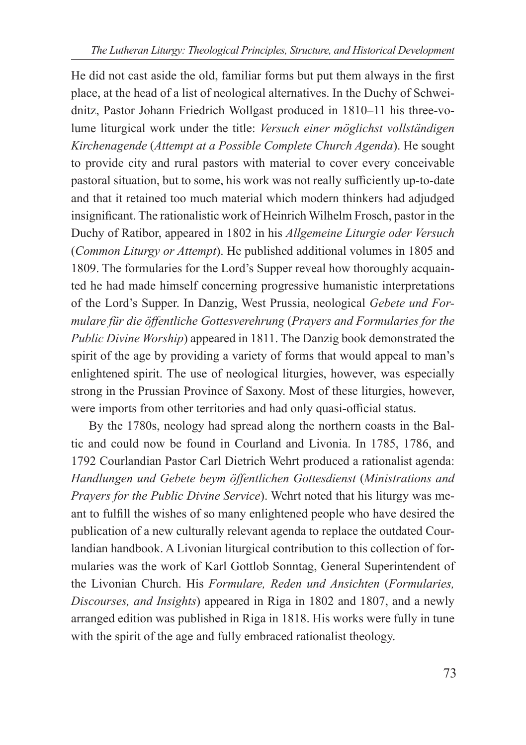He did not cast aside the old, familiar forms but put them always in the first place, at the head of a list of neological alternatives. In the Duchy of Schweidnitz, Pastor Johann Friedrich Wollgast produced in 1810–11 his three-volume liturgical work under the title: *Versuch einer möglichst vollständigen Kirchenagende* (*Attempt at a Possible Complete Church Agenda*). He sought to provide city and rural pastors with material to cover every conceivable pastoral situation, but to some, his work was not really sufficiently up-to-date and that it retained too much material which modern thinkers had adjudged insignificant. The rationalistic work of Heinrich Wilhelm Frosch, pastor in the Duchy of Ratibor, appeared in 1802 in his *Allgemeine Liturgie oder Versuch*  (*Common Liturgy or Attempt*). He published additional volumes in 1805 and 1809. The formularies for the Lord's Supper reveal how thoroughly acquainted he had made himself concerning progressive humanistic interpretations of the Lord's Supper. In Danzig, West Prussia, neological *Gebete und Formulare für die öffentliche Gottesverehrung* (*Prayers and Formularies for the Public Divine Worship*) appeared in 1811. The Danzig book demonstrated the spirit of the age by providing a variety of forms that would appeal to man's enlightened spirit. The use of neological liturgies, however, was especially strong in the Prussian Province of Saxony. Most of these liturgies, however, were imports from other territories and had only quasi-official status.

By the 1780s, neology had spread along the northern coasts in the Baltic and could now be found in Courland and Livonia. In 1785, 1786, and 1792 Courlandian Pastor Carl Dietrich Wehrt produced a rationalist agenda: *Handlungen und Gebete beym öffentlichen Gottesdienst* (*Ministrations and Prayers for the Public Divine Service*). Wehrt noted that his liturgy was meant to fulfill the wishes of so many enlightened people who have desired the publication of a new culturally relevant agenda to replace the outdated Courlandian handbook. A Livonian liturgical contribution to this collection of formularies was the work of Karl Gottlob Sonntag, General Superintendent of the Livonian Church. His *Formulare, Reden und Ansichten* (*Formularies, Discourses, and Insights*) appeared in Riga in 1802 and 1807, and a newly arranged edition was published in Riga in 1818. His works were fully in tune with the spirit of the age and fully embraced rationalist theology.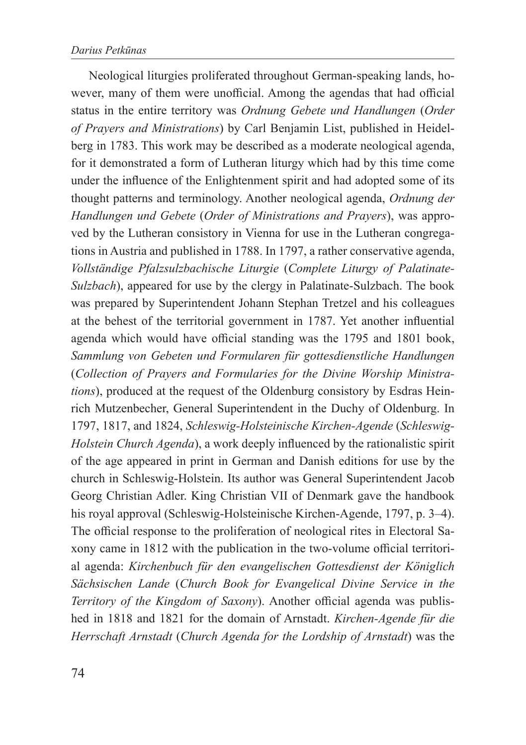Neological liturgies proliferated throughout German-speaking lands, however, many of them were unofficial. Among the agendas that had official status in the entire territory was *Ordnung Gebete und Handlungen* (*Order of Prayers and Ministrations*) by Carl Benjamin List, published in Heidelberg in 1783. This work may be described as a moderate neological agenda, for it demonstrated a form of Lutheran liturgy which had by this time come under the influence of the Enlightenment spirit and had adopted some of its thought patterns and terminology. Another neological agenda, *Ordnung der Handlungen und Gebete* (*Order of Ministrations and Prayers*), was approved by the Lutheran consistory in Vienna for use in the Lutheran congregations in Austria and published in 1788. In 1797, a rather conservative agenda, *Vollständige Pfalzsulzbachische Liturgie* (*Complete Liturgy of Palatinate-Sulzbach*), appeared for use by the clergy in Palatinate-Sulzbach. The book was prepared by Superintendent Johann Stephan Tretzel and his colleagues at the behest of the territorial government in 1787. Yet another influential agenda which would have official standing was the 1795 and 1801 book, *Sammlung von Gebeten und Formularen für gottesdienstliche Handlungen*  (*Collection of Prayers and Formularies for the Divine Worship Ministrations*), produced at the request of the Oldenburg consistory by Esdras Heinrich Mutzenbecher, General Superintendent in the Duchy of Oldenburg. In 1797, 1817, and 1824, *Schleswig-Holsteinische Kirchen-Agende* (*Schleswig-Holstein Church Agenda*), a work deeply influenced by the rationalistic spirit of the age appeared in print in German and Danish editions for use by the church in Schleswig-Holstein. Its author was General Superintendent Jacob Georg Christian Adler. King Christian VII of Denmark gave the handbook his royal approval (Schleswig-Holsteinische Kirchen-Agende, 1797, p. 3–4). The official response to the proliferation of neological rites in Electoral Saxony came in 1812 with the publication in the two-volume official territorial agenda: *Kirchenbuch für den evangelischen Gottesdienst der Königlich Sächsischen Lande* (*Church Book for Evangelical Divine Service in the Territory of the Kingdom of Saxony*). Another official agenda was published in 1818 and 1821 for the domain of Arnstadt. *Kirchen-Agende für die Herrschaft Arnstadt* (*Church Agenda for the Lordship of Arnstadt*) was the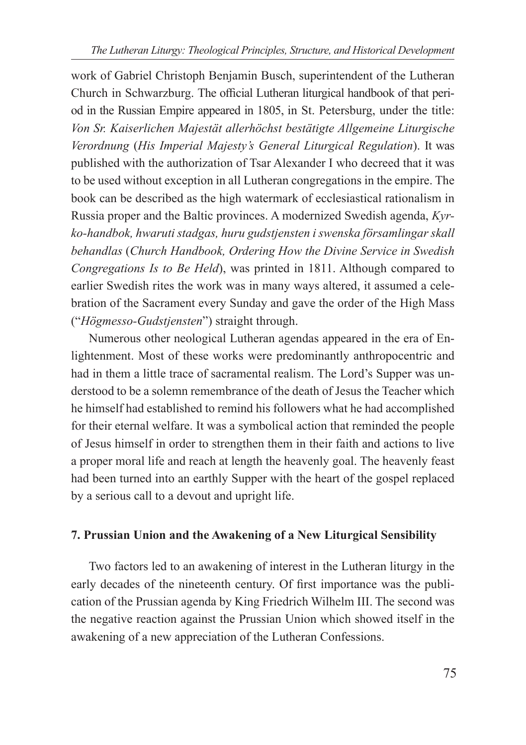work of Gabriel Christoph Benjamin Busch, superintendent of the Lutheran Church in Schwarzburg. The official Lutheran liturgical handbook of that period in the Russian Empire appeared in 1805, in St. Petersburg, under the title: *Von Sr. Kaiserlichen Majestät allerhöchst bestätigte Allgemeine Liturgische Verordnung* (*His Imperial Majesty's General Liturgical Regulation*). It was published with the authorization of Tsar Alexander I who decreed that it was to be used without exception in all Lutheran congregations in the empire. The book can be described as the high watermark of ecclesiastical rationalism in Russia proper and the Baltic provinces. A modernized Swedish agenda, *Kyrko-handbok, hwaruti stadgas, huru gudstjensten i swenska församlingar skall behandlas* (*Church Handbook, Ordering How the Divine Service in Swedish Congregations Is to Be Held*), was printed in 1811. Although compared to earlier Swedish rites the work was in many ways altered, it assumed a celebration of the Sacrament every Sunday and gave the order of the High Mass ("*Högmesso-Gudstjensten*") straight through.

Numerous other neological Lutheran agendas appeared in the era of Enlightenment. Most of these works were predominantly anthropocentric and had in them a little trace of sacramental realism. The Lord's Supper was understood to be a solemn remembrance of the death of Jesus the Teacher which he himself had established to remind his followers what he had accomplished for their eternal welfare. It was a symbolical action that reminded the people of Jesus himself in order to strengthen them in their faith and actions to live a proper moral life and reach at length the heavenly goal. The heavenly feast had been turned into an earthly Supper with the heart of the gospel replaced by a serious call to a devout and upright life.

# **7. Prussian Union and the Awakening of a New Liturgical Sensibility**

Two factors led to an awakening of interest in the Lutheran liturgy in the early decades of the nineteenth century. Of first importance was the publication of the Prussian agenda by King Friedrich Wilhelm III. The second was the negative reaction against the Prussian Union which showed itself in the awakening of a new appreciation of the Lutheran Confessions.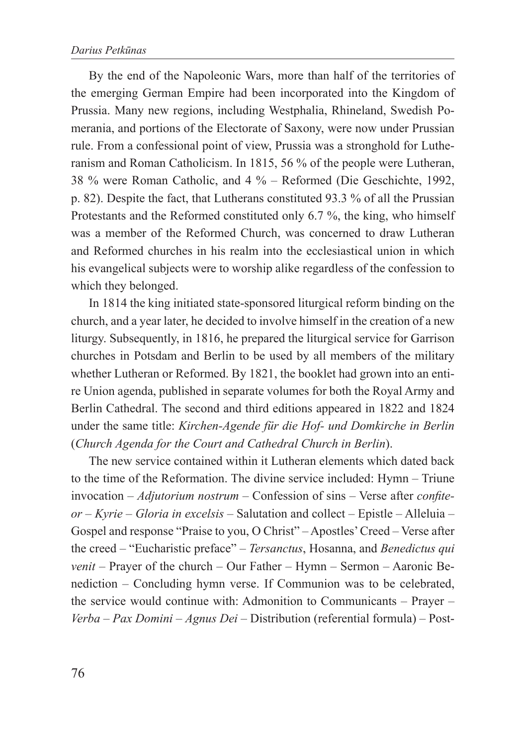By the end of the Napoleonic Wars, more than half of the territories of the emerging German Empire had been incorporated into the Kingdom of Prussia. Many new regions, including Westphalia, Rhineland, Swedish Pomerania, and portions of the Electorate of Saxony, were now under Prussian rule. From a confessional point of view, Prussia was a stronghold for Lutheranism and Roman Catholicism. In 1815, 56 % of the people were Lutheran, 38 % were Roman Catholic, and 4 % – Reformed (Die Geschichte, 1992, p. 82). Despite the fact, that Lutherans constituted 93.3 % of all the Prussian Protestants and the Reformed constituted only 6.7 %, the king, who himself was a member of the Reformed Church, was concerned to draw Lutheran and Reformed churches in his realm into the ecclesiastical union in which his evangelical subjects were to worship alike regardless of the confession to which they belonged.

In 1814 the king initiated state-sponsored liturgical reform binding on the church, and a year later, he decided to involve himself in the creation of a new liturgy. Subsequently, in 1816, he prepared the liturgical service for Garrison churches in Potsdam and Berlin to be used by all members of the military whether Lutheran or Reformed. By 1821, the booklet had grown into an entire Union agenda, published in separate volumes for both the Royal Army and Berlin Cathedral. The second and third editions appeared in 1822 and 1824 under the same title: *Kirchen-Agende für die Hof- und Domkirche in Berlin* (*Church Agenda for the Court and Cathedral Church in Berlin*).

The new service contained within it Lutheran elements which dated back to the time of the Reformation. The divine service included: Hymn – Triune invocation – *Adjutorium nostrum* – Confession of sins – Verse after *confiteor* – *Kyrie* – *Gloria in excelsis* – Salutation and collect – Epistle – Alleluia – Gospel and response "Praise to you, O Christ" – Apostles' Creed – Verse after the creed – "Eucharistic preface" – *Tersanctus*, Hosanna, and *Benedictus qui venit* – Prayer of the church – Our Father – Hymn – Sermon – Aaronic Benediction – Concluding hymn verse. If Communion was to be celebrated, the service would continue with: Admonition to Communicants – Prayer – *Verba* – *Pax Domini* – *Agnus Dei* – Distribution (referential formula) – Post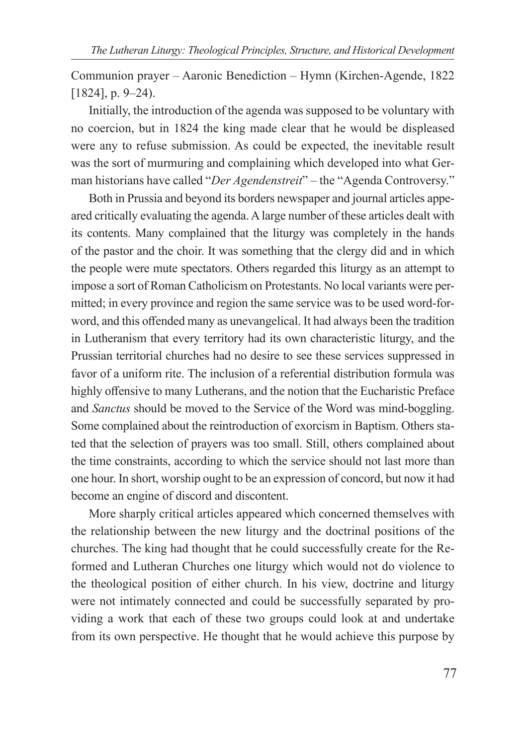Communion prayer – Aaronic Benediction – Hymn (Kirchen-Agende, 1822 [1824], p. 9–24).

Initially, the introduction of the agenda was supposed to be voluntary with no coercion, but in 1824 the king made clear that he would be displeased were any to refuse submission. As could be expected, the inevitable result was the sort of murmuring and complaining which developed into what German historians have called "*Der Agendenstreit*" – the "Agenda Controversy."

Both in Prussia and beyond its borders newspaper and journal articles appeared critically evaluating the agenda. A large number of these articles dealt with its contents. Many complained that the liturgy was completely in the hands of the pastor and the choir. It was something that the clergy did and in which the people were mute spectators. Others regarded this liturgy as an attempt to impose a sort of Roman Catholicism on Protestants. No local variants were permitted; in every province and region the same service was to be used word-forword, and this offended many as unevangelical. It had always been the tradition in Lutheranism that every territory had its own characteristic liturgy, and the Prussian territorial churches had no desire to see these services suppressed in favor of a uniform rite. The inclusion of a referential distribution formula was highly offensive to many Lutherans, and the notion that the Eucharistic Preface and *Sanctus* should be moved to the Service of the Word was mind-boggling. Some complained about the reintroduction of exorcism in Baptism. Others stated that the selection of prayers was too small. Still, others complained about the time constraints, according to which the service should not last more than one hour. In short, worship ought to be an expression of concord, but now it had become an engine of discord and discontent.

More sharply critical articles appeared which concerned themselves with the relationship between the new liturgy and the doctrinal positions of the churches. The king had thought that he could successfully create for the Reformed and Lutheran Churches one liturgy which would not do violence to the theological position of either church. In his view, doctrine and liturgy were not intimately connected and could be successfully separated by providing a work that each of these two groups could look at and undertake from its own perspective. He thought that he would achieve this purpose by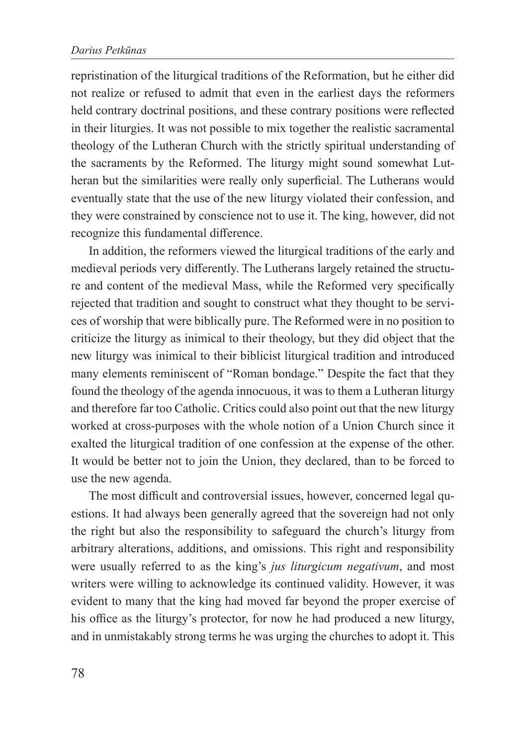repristination of the liturgical traditions of the Reformation, but he either did not realize or refused to admit that even in the earliest days the reformers held contrary doctrinal positions, and these contrary positions were reflected in their liturgies. It was not possible to mix together the realistic sacramental theology of the Lutheran Church with the strictly spiritual understanding of the sacraments by the Reformed. The liturgy might sound somewhat Lutheran but the similarities were really only superficial. The Lutherans would eventually state that the use of the new liturgy violated their confession, and they were constrained by conscience not to use it. The king, however, did not recognize this fundamental difference.

In addition, the reformers viewed the liturgical traditions of the early and medieval periods very differently. The Lutherans largely retained the structure and content of the medieval Mass, while the Reformed very specifically rejected that tradition and sought to construct what they thought to be services of worship that were biblically pure. The Reformed were in no position to criticize the liturgy as inimical to their theology, but they did object that the new liturgy was inimical to their biblicist liturgical tradition and introduced many elements reminiscent of "Roman bondage." Despite the fact that they found the theology of the agenda innocuous, it was to them a Lutheran liturgy and therefore far too Catholic. Critics could also point out that the new liturgy worked at cross-purposes with the whole notion of a Union Church since it exalted the liturgical tradition of one confession at the expense of the other. It would be better not to join the Union, they declared, than to be forced to use the new agenda.

The most difficult and controversial issues, however, concerned legal questions. It had always been generally agreed that the sovereign had not only the right but also the responsibility to safeguard the church's liturgy from arbitrary alterations, additions, and omissions. This right and responsibility were usually referred to as the king's *jus liturgicum negativum*, and most writers were willing to acknowledge its continued validity. However, it was evident to many that the king had moved far beyond the proper exercise of his office as the liturgy's protector, for now he had produced a new liturgy, and in unmistakably strong terms he was urging the churches to adopt it. This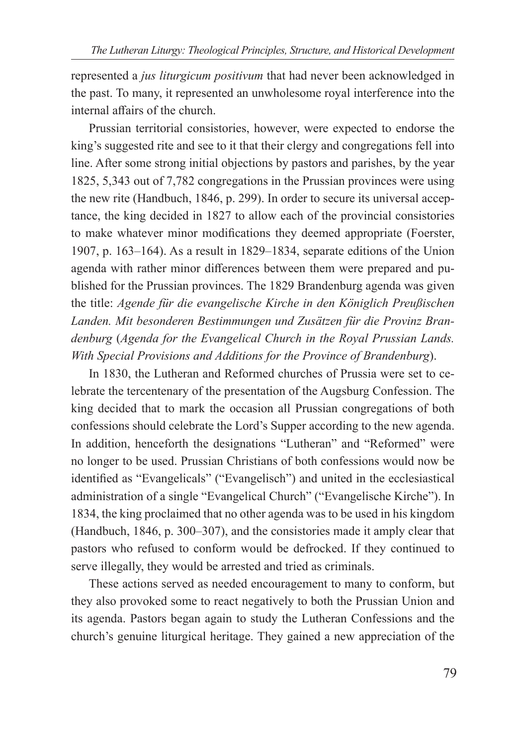represented a *jus liturgicum positivum* that had never been acknowledged in the past. To many, it represented an unwholesome royal interference into the internal affairs of the church.

Prussian territorial consistories, however, were expected to endorse the king's suggested rite and see to it that their clergy and congregations fell into line. After some strong initial objections by pastors and parishes, by the year 1825, 5,343 out of 7,782 congregations in the Prussian provinces were using the new rite (Handbuch, 1846, p. 299). In order to secure its universal acceptance, the king decided in 1827 to allow each of the provincial consistories to make whatever minor modifications they deemed appropriate (Foerster, 1907, p. 163–164). As a result in 1829–1834, separate editions of the Union agenda with rather minor differences between them were prepared and published for the Prussian provinces. The 1829 Brandenburg agenda was given the title: *Agende für die evangelische Kirche in den Königlich Preußischen Landen. Mit besonderen Bestimmungen und Zusätzen für die Provinz Brandenburg* (*Agenda for the Evangelical Church in the Royal Prussian Lands. With Special Provisions and Additions for the Province of Brandenburg*).

In 1830, the Lutheran and Reformed churches of Prussia were set to celebrate the tercentenary of the presentation of the Augsburg Confession. The king decided that to mark the occasion all Prussian congregations of both confessions should celebrate the Lord's Supper according to the new agenda. In addition, henceforth the designations "Lutheran" and "Reformed" were no longer to be used. Prussian Christians of both confessions would now be identified as "Evangelicals" ("Evangelisch") and united in the ecclesiastical administration of a single "Evangelical Church" ("Evangelische Kirche"). In 1834, the king proclaimed that no other agenda was to be used in his kingdom (Handbuch, 1846, p. 300–307), and the consistories made it amply clear that pastors who refused to conform would be defrocked. If they continued to serve illegally, they would be arrested and tried as criminals.

These actions served as needed encouragement to many to conform, but they also provoked some to react negatively to both the Prussian Union and its agenda. Pastors began again to study the Lutheran Confessions and the church's genuine liturgical heritage. They gained a new appreciation of the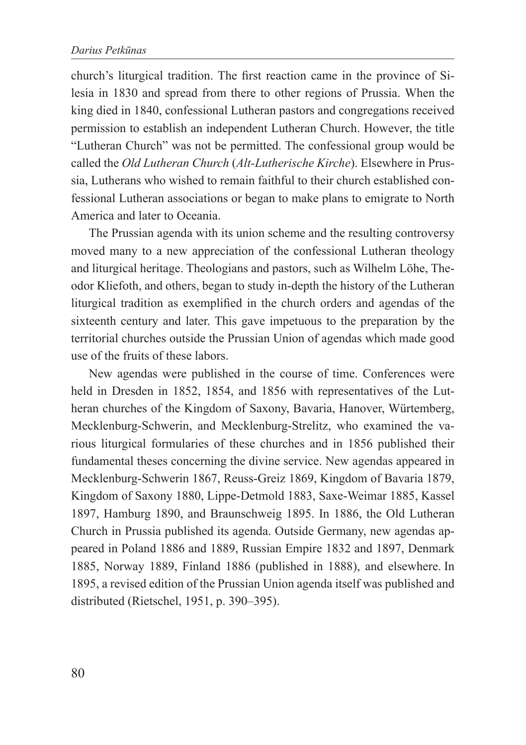church's liturgical tradition. The first reaction came in the province of Silesia in 1830 and spread from there to other regions of Prussia. When the king died in 1840, confessional Lutheran pastors and congregations received permission to establish an independent Lutheran Church. However, the title "Lutheran Church" was not be permitted. The confessional group would be called the *Old Lutheran Church* (*Alt-Lutherische Kirche*). Elsewhere in Prussia, Lutherans who wished to remain faithful to their church established confessional Lutheran associations or began to make plans to emigrate to North America and later to Oceania.

The Prussian agenda with its union scheme and the resulting controversy moved many to a new appreciation of the confessional Lutheran theology and liturgical heritage. Theologians and pastors, such as Wilhelm Löhe, Theodor Kliefoth, and others, began to study in-depth the history of the Lutheran liturgical tradition as exemplified in the church orders and agendas of the sixteenth century and later. This gave impetuous to the preparation by the territorial churches outside the Prussian Union of agendas which made good use of the fruits of these labors.

New agendas were published in the course of time. Conferences were held in Dresden in 1852, 1854, and 1856 with representatives of the Lutheran churches of the Kingdom of Saxony, Bavaria, Hanover, Würtemberg, Mecklenburg-Schwerin, and Mecklenburg-Strelitz, who examined the various liturgical formularies of these churches and in 1856 published their fundamental theses concerning the divine service. New agendas appeared in Mecklenburg-Schwerin 1867, Reuss-Greiz 1869, Kingdom of Bavaria 1879, Kingdom of Saxony 1880, Lippe-Detmold 1883, Saxe-Weimar 1885, Kassel 1897, Hamburg 1890, and Braunschweig 1895. In 1886, the Old Lutheran Church in Prussia published its agenda. Outside Germany, new agendas appeared in Poland 1886 and 1889, Russian Empire 1832 and 1897, Denmark 1885, Norway 1889, Finland 1886 (published in 1888), and elsewhere. In 1895, a revised edition of the Prussian Union agenda itself was published and distributed (Rietschel, 1951, p. 390–395).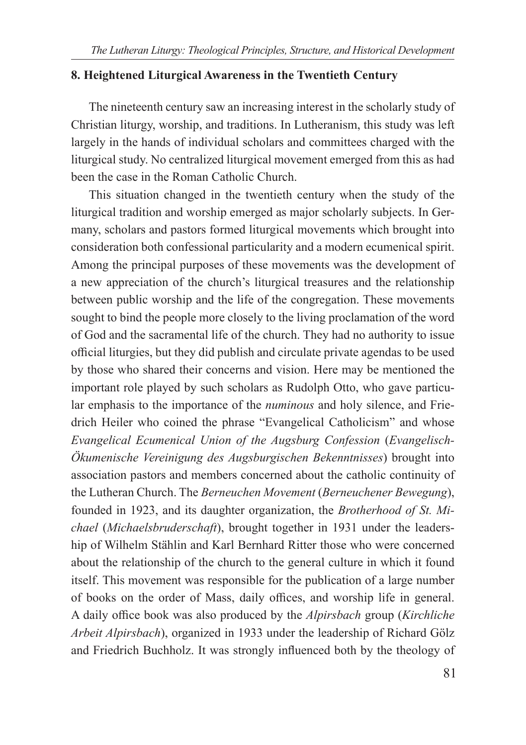## **8. Heightened Liturgical Awareness in the Twentieth Century**

The nineteenth century saw an increasing interest in the scholarly study of Christian liturgy, worship, and traditions. In Lutheranism, this study was left largely in the hands of individual scholars and committees charged with the liturgical study. No centralized liturgical movement emerged from this as had been the case in the Roman Catholic Church.

This situation changed in the twentieth century when the study of the liturgical tradition and worship emerged as major scholarly subjects. In Germany, scholars and pastors formed liturgical movements which brought into consideration both confessional particularity and a modern ecumenical spirit. Among the principal purposes of these movements was the development of a new appreciation of the church's liturgical treasures and the relationship between public worship and the life of the congregation. These movements sought to bind the people more closely to the living proclamation of the word of God and the sacramental life of the church. They had no authority to issue official liturgies, but they did publish and circulate private agendas to be used by those who shared their concerns and vision. Here may be mentioned the important role played by such scholars as Rudolph Otto, who gave particular emphasis to the importance of the *numinous* and holy silence, and Friedrich Heiler who coined the phrase "Evangelical Catholicism" and whose *Evangelical Ecumenical Union of the Augsburg Confession* (*Evangelisch-Ökumenische Vereinigung des Augsburgischen Bekenntnisses*) brought into association pastors and members concerned about the catholic continuity of the Lutheran Church. The *Berneuchen Movement* (*Berneuchener Bewegung*), founded in 1923, and its daughter organization, the *Brotherhood of St. Michael* (*Michaelsbruderschaft*), brought together in 1931 under the leadership of Wilhelm Stählin and Karl Bernhard Ritter those who were concerned about the relationship of the church to the general culture in which it found itself. This movement was responsible for the publication of a large number of books on the order of Mass, daily offices, and worship life in general. A daily office book was also produced by the *Alpirsbach* group (*Kirchliche Arbeit Alpirsbach*), organized in 1933 under the leadership of Richard Gölz and Friedrich Buchholz. It was strongly influenced both by the theology of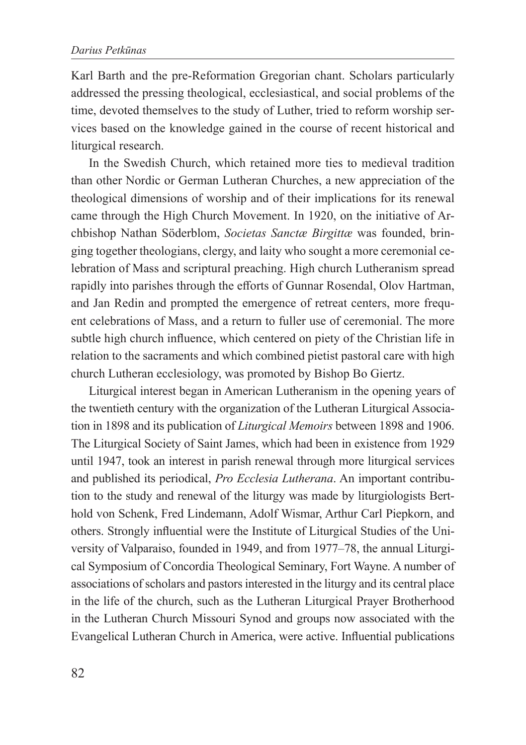Karl Barth and the pre-Reformation Gregorian chant. Scholars particularly addressed the pressing theological, ecclesiastical, and social problems of the time, devoted themselves to the study of Luther, tried to reform worship services based on the knowledge gained in the course of recent historical and liturgical research.

In the Swedish Church, which retained more ties to medieval tradition than other Nordic or German Lutheran Churches, a new appreciation of the theological dimensions of worship and of their implications for its renewal came through the High Church Movement. In 1920, on the initiative of Archbishop Nathan Söderblom, *Societas Sanctæ Birgittæ* was founded, bringing together theologians, clergy, and laity who sought a more ceremonial celebration of Mass and scriptural preaching. High church Lutheranism spread rapidly into parishes through the efforts of Gunnar Rosendal, Olov Hartman, and Jan Redin and prompted the emergence of retreat centers, more frequent celebrations of Mass, and a return to fuller use of ceremonial. The more subtle high church influence, which centered on piety of the Christian life in relation to the sacraments and which combined pietist pastoral care with high church Lutheran ecclesiology, was promoted by Bishop Bo Giertz.

Liturgical interest began in American Lutheranism in the opening years of the twentieth century with the organization of the Lutheran Liturgical Association in 1898 and its publication of *Liturgical Memoirs* between 1898 and 1906. The Liturgical Society of Saint James, which had been in existence from 1929 until 1947, took an interest in parish renewal through more liturgical services and published its periodical, *Pro Ecclesia Lutherana*. An important contribution to the study and renewal of the liturgy was made by liturgiologists Berthold von Schenk, Fred Lindemann, Adolf Wismar, Arthur Carl Piepkorn, and others. Strongly influential were the Institute of Liturgical Studies of the University of Valparaiso, founded in 1949, and from 1977–78, the annual Liturgical Symposium of Concordia Theological Seminary, Fort Wayne. A number of associations of scholars and pastors interested in the liturgy and its central place in the life of the church, such as the Lutheran Liturgical Prayer Brotherhood in the Lutheran Church Missouri Synod and groups now associated with the Evangelical Lutheran Church in America, were active. Influential publications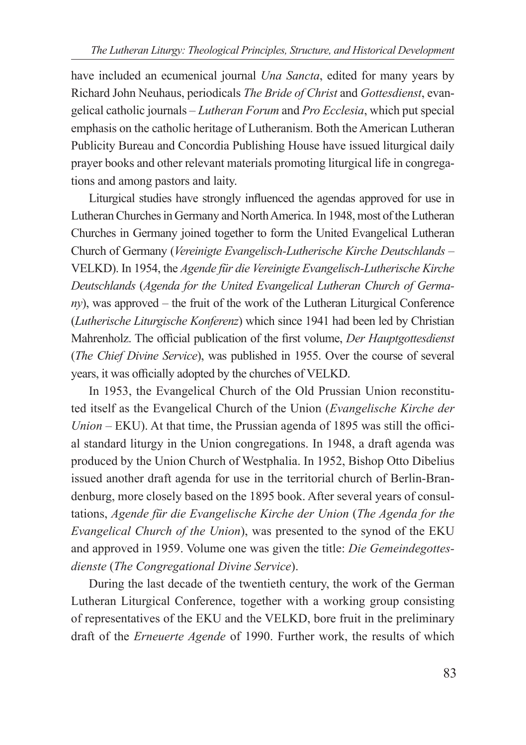have included an ecumenical journal *Una Sancta*, edited for many years by Richard John Neuhaus, periodicals *The Bride of Christ* and *Gottesdienst*, evangelical catholic journals – *Lutheran Forum* and *Pro Ecclesia*, which put special emphasis on the catholic heritage of Lutheranism. Both the American Lutheran Publicity Bureau and Concordia Publishing House have issued liturgical daily prayer books and other relevant materials promoting liturgical life in congregations and among pastors and laity.

Liturgical studies have strongly influenced the agendas approved for use in Lutheran Churches in Germany and North America. In 1948, most of the Lutheran Churches in Germany joined together to form the United Evangelical Lutheran Church of Germany (*Vereinigte Evangelisch-Lutherische Kirche Deutschlands* – VELKD). In 1954, the *Agende für die Vereinigte Evangelisch-Lutherische Kirche Deutschlands* (*Agenda for the United Evangelical Lutheran Church of Germany*), was approved – the fruit of the work of the Lutheran Liturgical Conference (*Lutherische Liturgische Konferenz*) which since 1941 had been led by Christian Mahrenholz. The official publication of the first volume, *Der Hauptgottesdienst* (*The Chief Divine Service*), was published in 1955. Over the course of several years, it was officially adopted by the churches of VELKD.

In 1953, the Evangelical Church of the Old Prussian Union reconstituted itself as the Evangelical Church of the Union (*Evangelische Kirche der Union –* EKU). At that time, the Prussian agenda of 1895 was still the official standard liturgy in the Union congregations. In 1948, a draft agenda was produced by the Union Church of Westphalia. In 1952, Bishop Otto Dibelius issued another draft agenda for use in the territorial church of Berlin-Brandenburg, more closely based on the 1895 book. After several years of consultations, *Agende für die Evangelische Kirche der Union* (*The Agenda for the Evangelical Church of the Union*), was presented to the synod of the EKU and approved in 1959. Volume one was given the title: *Die Gemeindegottesdienste* (*The Congregational Divine Service*).

During the last decade of the twentieth century, the work of the German Lutheran Liturgical Conference, together with a working group consisting of representatives of the EKU and the VELKD, bore fruit in the preliminary draft of the *Erneuerte Agende* of 1990. Further work, the results of which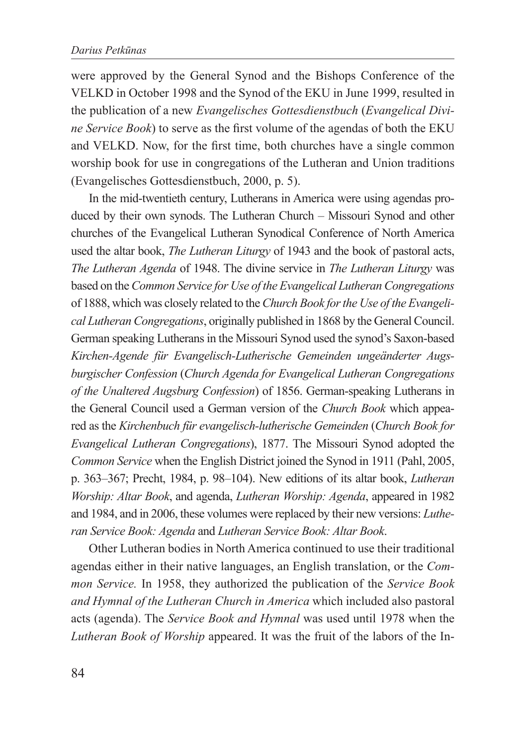were approved by the General Synod and the Bishops Conference of the VELKD in October 1998 and the Synod of the EKU in June 1999, resulted in the publication of a new *Evangelisches Gottesdienstbuch* (*Evangelical Divine Service Book*) to serve as the first volume of the agendas of both the EKU and VELKD. Now, for the first time, both churches have a single common worship book for use in congregations of the Lutheran and Union traditions (Evangelisches Gottesdienstbuch, 2000, p. 5).

In the mid-twentieth century, Lutherans in America were using agendas produced by their own synods. The Lutheran Church – Missouri Synod and other churches of the Evangelical Lutheran Synodical Conference of North America used the altar book, *The Lutheran Liturgy* of 1943 and the book of pastoral acts, *The Lutheran Agenda* of 1948. The divine service in *The Lutheran Liturgy* was based on the *Common Service for Use of the Evangelical Lutheran Congregations* of 1888, which was closely related to the *Church Book for the Use of the Evangelical Lutheran Congregations*, originally published in 1868 by the General Council. German speaking Lutherans in the Missouri Synod used the synod's Saxon-based *Kirchen-Agende für Evangelisch-Lutherische Gemeinden ungeänderter Augsburgischer Confession* (*Church Agenda for Evangelical Lutheran Congregations of the Unaltered Augsburg Confession*) of 1856. German-speaking Lutherans in the General Council used a German version of the *Church Book* which appeared as the *Kirchenbuch für evangelisch-lutherische Gemeinden* (*Church Book for Evangelical Lutheran Congregations*), 1877. The Missouri Synod adopted the *Common Service* when the English District joined the Synod in 1911 (Pahl, 2005, p. 363–367; Precht, 1984, p. 98–104). New editions of its altar book, *Lutheran Worship: Altar Book*, and agenda, *Lutheran Worship: Agenda*, appeared in 1982 and 1984, and in 2006, these volumes were replaced by their new versions: *Lutheran Service Book: Agenda* and *Lutheran Service Book: Altar Book*.

Other Lutheran bodies in North America continued to use their traditional agendas either in their native languages, an English translation, or the *Common Service.* In 1958, they authorized the publication of the *Service Book and Hymnal of the Lutheran Church in America* which included also pastoral acts (agenda). The *Service Book and Hymnal* was used until 1978 when the *Lutheran Book of Worship* appeared. It was the fruit of the labors of the In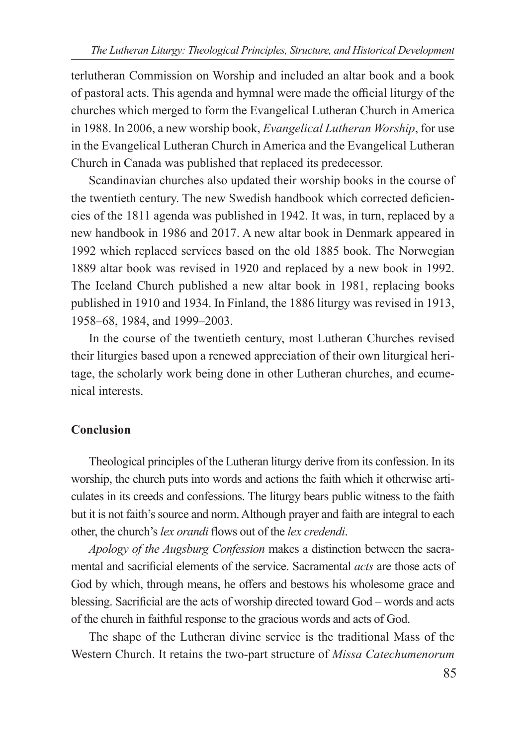terlutheran Commission on Worship and included an altar book and a book of pastoral acts. This agenda and hymnal were made the official liturgy of the churches which merged to form the Evangelical Lutheran Church in America in 1988. In 2006, a new worship book, *Evangelical Lutheran Worship*, for use in the Evangelical Lutheran Church in America and the Evangelical Lutheran Church in Canada was published that replaced its predecessor.

Scandinavian churches also updated their worship books in the course of the twentieth century. The new Swedish handbook which corrected deficiencies of the 1811 agenda was published in 1942. It was, in turn, replaced by a new handbook in 1986 and 2017. A new altar book in Denmark appeared in 1992 which replaced services based on the old 1885 book. The Norwegian 1889 altar book was revised in 1920 and replaced by a new book in 1992. The Iceland Church published a new altar book in 1981, replacing books published in 1910 and 1934. In Finland, the 1886 liturgy was revised in 1913, 1958–68, 1984, and 1999–2003.

In the course of the twentieth century, most Lutheran Churches revised their liturgies based upon a renewed appreciation of their own liturgical heritage, the scholarly work being done in other Lutheran churches, and ecumenical interests.

# **Conclusion**

Theological principles of the Lutheran liturgy derive from its confession. In its worship, the church puts into words and actions the faith which it otherwise articulates in its creeds and confessions. The liturgy bears public witness to the faith but it is not faith's source and norm. Although prayer and faith are integral to each other, the church's *lex orandi* flows out of the *lex credendi*.

*Apology of the Augsburg Confession* makes a distinction between the sacramental and sacrificial elements of the service. Sacramental *acts* are those acts of God by which, through means, he offers and bestows his wholesome grace and blessing. Sacrificial are the acts of worship directed toward God – words and acts of the church in faithful response to the gracious words and acts of God.

The shape of the Lutheran divine service is the traditional Mass of the Western Church. It retains the two-part structure of *Missa Catechumenorum*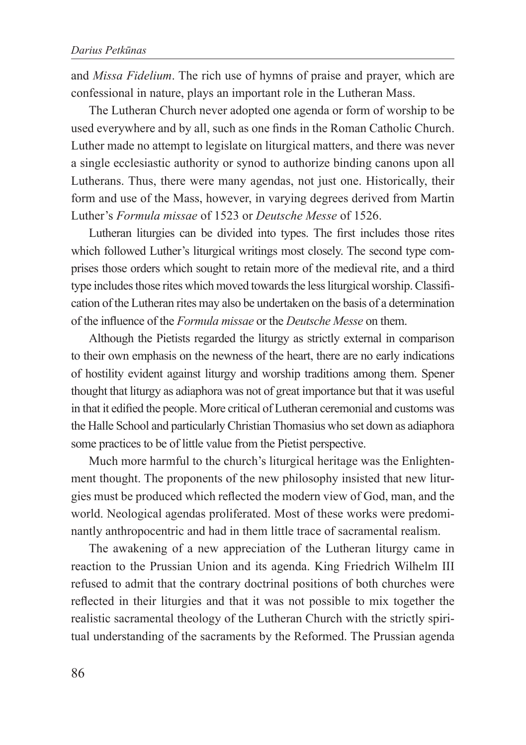and *Missa Fidelium*. The rich use of hymns of praise and prayer, which are confessional in nature, plays an important role in the Lutheran Mass.

The Lutheran Church never adopted one agenda or form of worship to be used everywhere and by all, such as one finds in the Roman Catholic Church. Luther made no attempt to legislate on liturgical matters, and there was never a single ecclesiastic authority or synod to authorize binding canons upon all Lutherans. Thus, there were many agendas, not just one. Historically, their form and use of the Mass, however, in varying degrees derived from Martin Luther's *Formula missae* of 1523 or *Deutsche Messe* of 1526.

Lutheran liturgies can be divided into types. The first includes those rites which followed Luther's liturgical writings most closely. The second type comprises those orders which sought to retain more of the medieval rite, and a third type includes those rites which moved towards the less liturgical worship. Classification of the Lutheran rites may also be undertaken on the basis of a determination of the influence of the *Formula missae* or the *Deutsche Messe* on them.

Although the Pietists regarded the liturgy as strictly external in comparison to their own emphasis on the newness of the heart, there are no early indications of hostility evident against liturgy and worship traditions among them. Spener thought that liturgy as adiaphora was not of great importance but that it was useful in that it edified the people. More critical of Lutheran ceremonial and customs was the Halle School and particularly Christian Thomasius who set down as adiaphora some practices to be of little value from the Pietist perspective.

Much more harmful to the church's liturgical heritage was the Enlightenment thought. The proponents of the new philosophy insisted that new liturgies must be produced which reflected the modern view of God, man, and the world. Neological agendas proliferated. Most of these works were predominantly anthropocentric and had in them little trace of sacramental realism.

The awakening of a new appreciation of the Lutheran liturgy came in reaction to the Prussian Union and its agenda. King Friedrich Wilhelm III refused to admit that the contrary doctrinal positions of both churches were reflected in their liturgies and that it was not possible to mix together the realistic sacramental theology of the Lutheran Church with the strictly spiritual understanding of the sacraments by the Reformed. The Prussian agenda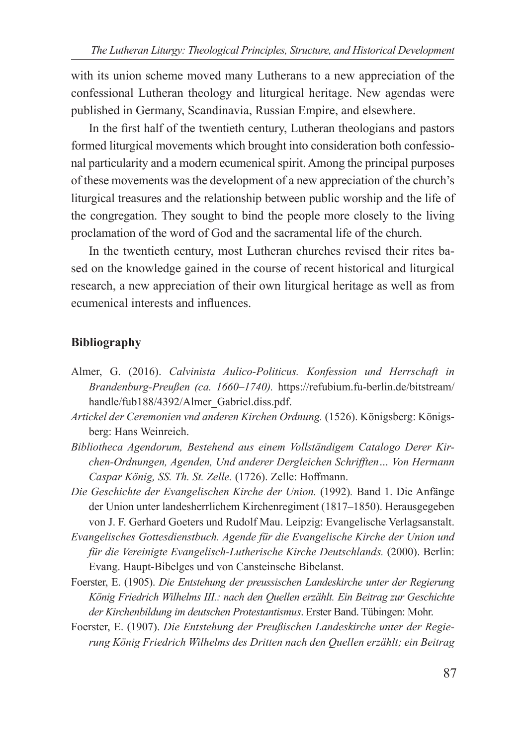with its union scheme moved many Lutherans to a new appreciation of the confessional Lutheran theology and liturgical heritage. New agendas were published in Germany, Scandinavia, Russian Empire, and elsewhere.

In the first half of the twentieth century, Lutheran theologians and pastors formed liturgical movements which brought into consideration both confessional particularity and a modern ecumenical spirit. Among the principal purposes of these movements was the development of a new appreciation of the church's liturgical treasures and the relationship between public worship and the life of the congregation. They sought to bind the people more closely to the living proclamation of the word of God and the sacramental life of the church.

In the twentieth century, most Lutheran churches revised their rites based on the knowledge gained in the course of recent historical and liturgical research, a new appreciation of their own liturgical heritage as well as from ecumenical interests and influences.

#### **Bibliography**

- Almer, G. (2016). *Calvinista Aulico-Politicus. Konfession und Herrschaft in Brandenburg-Preußen (ca. 1660–1740).* https://refubium.fu-berlin.de/bitstream/ handle/fub188/4392/Almer\_Gabriel.diss.pdf.
- *Artickel der Ceremonien vnd anderen Kirchen Ordnung.* (1526). Königsberg: Königsberg: Hans Weinreich.
- *Bibliotheca Agendorum, Bestehend aus einem Vollständigem Catalogo Derer Kirchen-Ordnungen, Agenden, Und anderer Dergleichen Schrifften… Von Hermann Caspar König, SS. Th. St. Zelle.* (1726). Zelle: Hoffmann.
- *Die Geschichte der Evangelischen Kirche der Union.* (1992)*.* Band 1. Die Anfänge der Union unter landesherrlichem Kirchenregiment (1817–1850). Herausgegeben von J. F. Gerhard Goeters und Rudolf Mau. Leipzig: Evangelische Verlagsanstalt.
- *Evangelisches Gottesdienstbuch. Agende für die Evangelische Kirche der Union und für die Vereinigte Evangelisch-Lutherische Kirche Deutschlands.* (2000). Berlin: Evang. Haupt-Bibelges und von Cansteinsche Bibelanst.
- Foerster, E. (1905). *Die Entstehung der preussischen Landeskirche unter der Regierung König Friedrich Wilhelms III.: nach den Quellen erzählt. Ein Beitrag zur Geschichte der Kirchenbildung im deutschen Protestantismus*. Erster Band. Tübingen: Mohr.
- Foerster, E. (1907). *Die Entstehung der Preußischen Landeskirche unter der Regierung König Friedrich Wilhelms des Dritten nach den Quellen erzählt; ein Beitrag*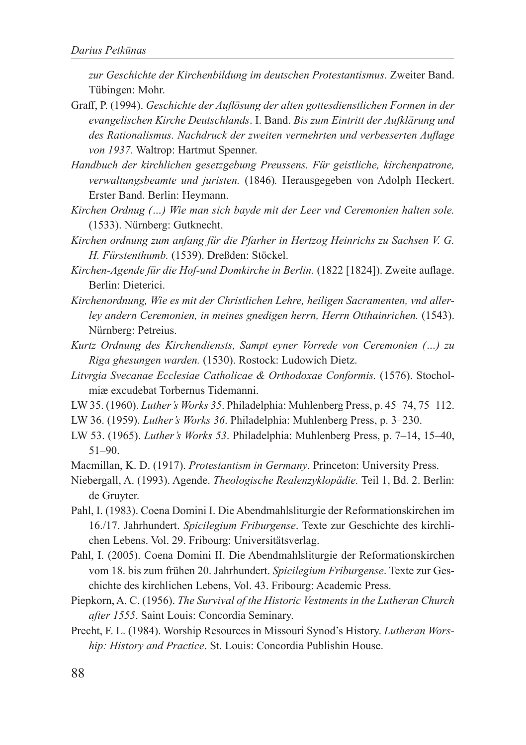*zur Geschichte der Kirchenbildung im deutschen Protestantismus*. Zweiter Band. Tübingen: Mohr.

- Graff, P. (1994). *Geschichte der Auflösung der alten gottesdienstlichen Formen in der evangelischen Kirche Deutschlands*. I. Band. *Bis zum Eintritt der Aufklärung und des Rationalismus. Nachdruck der zweiten vermehrten und verbesserten Auflage von 1937.* Waltrop: Hartmut Spenner.
- *Handbuch der kirchlichen gesetzgebung Preussens. Für geistliche, kirchenpatrone, verwaltungsbeamte und juristen.* (1846)*.* Herausgegeben von Adolph Heckert. Erster Band. Berlin: Heymann.
- *Kirchen Ordnug (…) Wie man sich bayde mit der Leer vnd Ceremonien halten sole.* (1533). Nürnberg: Gutknecht.
- *Kirchen ordnung zum anfang für die Pfarher in Hertzog Heinrichs zu Sachsen V. G. H. Fürstenthumb.* (1539). Dreßden: Stöckel.
- *Kirchen-Agende für die Hof-und Domkirche in Berlin.* (1822 [1824]). Zweite auflage. Berlin: Dieterici.
- *Kirchenordnung, Wie es mit der Christlichen Lehre, heiligen Sacramenten, vnd allerley andern Ceremonien, in meines gnedigen herrn, Herrn Otthainrichen.* (1543). Nürnberg: Petreius.
- *Kurtz Ordnung des Kirchendiensts, Sampt eyner Vorrede von Ceremonien (…) zu Riga ghesungen warden.* (1530). Rostock: Ludowich Dietz.
- *Litvrgia Svecanae Ecclesiae Catholicae & Orthodoxae Conformis.* (1576). Stocholmiæ excudebat Torbernus Tidemanni.
- LW 35. (1960). *Luther's Works 35*. Philadelphia: Muhlenberg Press, p. 45–74, 75–112.
- LW 36. (1959). *Luther's Works 36*. Philadelphia: Muhlenberg Press, p. 3–230.
- LW 53. (1965). *Luther's Works 53*. Philadelphia: Muhlenberg Press, p. 7–14, 15–40, 51–90.
- Macmillan, K. D. (1917). *Protestantism in Germany*. Princeton: University Press.
- Niebergall, A. (1993). Agende. *Theologische Realenzyklopädie.* Teil 1, Bd. 2. Berlin: de Gruyter.
- Pahl, I. (1983). Coena Domini I. Die Abendmahlsliturgie der Reformationskirchen im 16./17. Jahrhundert. *Spicilegium Friburgense*. Texte zur Geschichte des kirchlichen Lebens. Vol. 29. Fribourg: Universitätsverlag.
- Pahl, I. (2005). Coena Domini II. Die Abendmahlsliturgie der Reformationskirchen vom 18. bis zum frühen 20. Jahrhundert. *Spicilegium Friburgense*. Texte zur Geschichte des kirchlichen Lebens, Vol. 43. Fribourg: Academic Press.
- Piepkorn, A. C. (1956). *The Survival of the Historic Vestments in the Lutheran Church after 1555*. Saint Louis: Concordia Seminary.
- Precht, F. L. (1984). Worship Resources in Missouri Synod's History. *Lutheran Worship: History and Practice*. St. Louis: Concordia Publishin House.